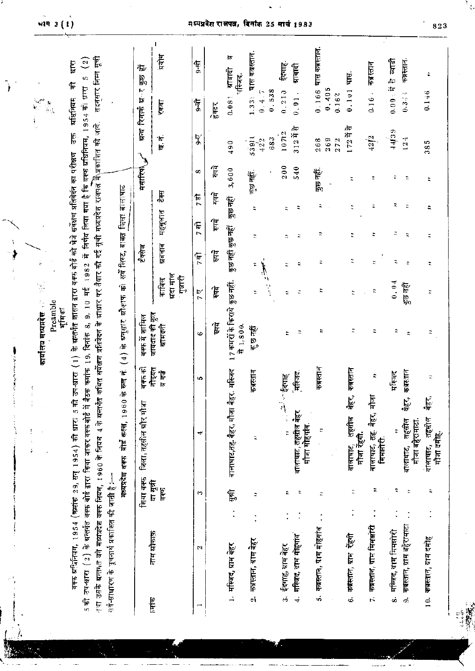|                     |                                                    |                 |                                                                                                                                                           |                       | कार्यालय मध्यप्रदेश                                                          | $\frac{1}{\epsilon}$        | į.                                        |            |          |            |                                                      |                                  |                                    |
|---------------------|----------------------------------------------------|-----------------|-----------------------------------------------------------------------------------------------------------------------------------------------------------|-----------------------|------------------------------------------------------------------------------|-----------------------------|-------------------------------------------|------------|----------|------------|------------------------------------------------------|----------------------------------|------------------------------------|
|                     |                                                    |                 |                                                                                                                                                           |                       | Preamble<br>भूमिका                                                           |                             |                                           |            |          |            |                                                      |                                  |                                    |
|                     |                                                    |                 | वक्फ ग्रन्धिनियम, 1954 (कर्माक 29, सन् 1954) की धारा उ की                                                                                                 | उप-धारा $(1)$         | के ब्रान्तर्गत शासन द्वारा वक्फ बोर्ड को भेजे सर्वेक्षण प्रतिवेदन का परीक्षण |                             |                                           |            |          |            | ⊯                                                    | 乍<br>ब्रांशीयम                   | प्रारा                             |
|                     |                                                    |                 | ़ की उप~धारा (2) के घत्तर्गत वक्फ बोर्ड द्वारा किया जाकर वक्फ बोर्ड में बैठक कमांक 19, दिनांक 8, 9, 10 मई                                                 |                       |                                                                              |                             | 1982                                      |            |          |            | में निर्णय लिया गया है कि वक्फ अधिनियम, 1954 को धारा |                                  | $\widetilde{\mathcal{E}}$<br>U)    |
|                     | सर्वे-साधारण के पूचनार्थ प्रकाशित की जाती है :---- |                 | ाग उसके बत्तगत बने मध्यप्रदेश वक्फ नियम, 1960 के नियम 4 के यन्तर्गत कथित सर्वेक्षण प्रतिवेदन के धाधार की गई सूची मध्यप्रदेश राजपत्न में∖प्रकाशित की जावे. |                       |                                                                              |                             |                                           |            |          |            |                                                      |                                  | तदतसार निम्न सूची                  |
|                     |                                                    | शिया वक्फ       | मध्यप्रदेश वक्क बोर्ड रूल्स, 1960<br>जिला, तहसील और मौजा                                                                                                  | के रूल नं.<br>बम्म की | $(4)$ के प्रनुसार औकाफ की<br>वक्त में शामिल                                  |                             | सर्वे लिस्ट, बाबत जिला बालाघाट<br>टैक्सेज |            |          | मसारिफ     | प्रन्य                                               | 计校<br>रिमार्क                    | 忶<br>晶                             |
| स्माक               | नाम ग्रौकाफ़                                       | या सुची<br>वक्क |                                                                                                                                                           | नौइयत<br>ब गर्वे      | जायदाद की कुल<br>ग्रामदनी                                                    | ग्रदा माल<br>गजारी<br>काबित | ग्रववाब                                   | महत्तूलात  | 馬        |            | ा<br>छ                                               | रकबा                             | 有                                  |
|                     | $\sim$                                             | S               | 4                                                                                                                                                         | ю                     | co                                                                           | $\frac{1}{2}$               | ृत्त                                      | नि<br>र    | 行        | $\infty$   | $\frac{1}{9}$                                        | ţ                                | t<br>5                             |
|                     |                                                    |                 |                                                                                                                                                           |                       | इपये                                                                         | Ē                           | हि                                        | हि         | मृत्यू   | हिन्द      |                                                      | हेक्टर                           |                                    |
|                     | 1. मस्जिद, ग्राम बेहर                              | ţ,              | बालाघाट,तह, क्षैहर, मौजा बैहर. मस्जिद                                                                                                                     |                       | 17 कमरों के किराये<br>计1,800.                                                | कुछ नहीं.                   | कुछ नहीं कुछ नहीं                         |            | कुछ नहीं | 3,600      | 490                                                  | 0.081                            | াত<br>ग्राबादी<br>परिचार<br>परिचार |
| $\ddot{\mathbf{c}}$ | कब्रस्तान, ग्राम बेहर                              | E,              | Ξ                                                                                                                                                         | कबस्तान               | कुछ नहीं                                                                     | $\frac{1}{2}$<br>÷          | π                                         | ÷,         | ÷,       | कुछ नहीं.  | 53911<br>683<br>422                                  | 0.538<br>Ţ.<br>0.4<br>1.33       | धास कब्रस्तान                      |
| ė,                  | ईदगाह, प्राम बेहर                                  | ÷,              | $\ddot{ }$                                                                                                                                                | ईदगाह                 | ÷                                                                            | $\ddot{ }$                  | ÷                                         | ÷,         | ÷,       | 200        | 10712                                                | 0.210                            | ईदगाहू.                            |
| $\ddot{ }$          | मस्जिद, ग्राम मोहंगांव                             | Þ,              | बालाघाट, तहसील बैहर<br>मौजा मोहमाव.                                                                                                                       | मस्जिद.               | $\ddot{ }$                                                                   | ÷                           | ≎                                         | Ξ          | Ξ        | 540        | 312 में से                                           | 0.01                             | ग्रावादी                           |
| ió.                 | कब्रस्तान, ग्राम मोहगांव                           | $\ddot{z}$      | E,                                                                                                                                                        | कबस्तान               | ÷                                                                            |                             | π                                         | ÷          | ነ        | कुछ नहीं.  | 269<br>268<br>272                                    | 0.405<br>0.166<br>0.162          | घास कबस्तान                        |
| .<br>G              | कब्रस्तान, ग्राम रहेगी                             | ÷               | $\sum_{\sigma \in \mathbf{G}'}$<br>तहसील<br>मौजा रहमी.<br>बालाघाट,                                                                                        | कबस्तान               | ÷                                                                            | t                           | Ę                                         | $\ddot{ }$ |          | Ż,         | Æ<br>172年                                            | $0.1$ <sub>V</sub> $1$           | ļ.                                 |
| $\vec{r}$           | कब्रस्तान, ग्राम मिमझोरी                           | ÷               | बेहर, मौजा<br>बालाधाट, तह.<br>मिमलोरी                                                                                                                     | t.                    | ÷                                                                            | ÷                           | ÷,                                        | ÷          | ÷,       | ÷          | 4212                                                 | $\overline{\phantom{a}}$<br>0.16 | कबस्तान                            |
| $\ddot{\circ}$      | मस्जिद, ग्राम मिमझोरी                              | ÷,              | ÷,                                                                                                                                                        | मस्बद                 | ÷                                                                            | 0.04                        | ÷,                                        | ÷,         |          | ።          | 44/39                                                | $0.00 \cdot \tilde{H}$           | व्याडी<br>$\sigma$                 |
| c.                  | कब्रस्तान, ग्राम बहेरामाटा                         | ÷,              | $\frac{\hbar^2}{4\sigma}$<br>तहसील<br>मौजा बहेरामाटा.<br>बालाधाट,                                                                                         | कब्रस्तान             | $\ddot{ }$                                                                   | कुछ नहीं                    | $\ddot{\phantom{a}}$                      | t          | ÷,       | $\ddot{ }$ | 124                                                  | r,<br>0.3                        | कबस्तान                            |
|                     | 10. कब्रस्तान, ग्राम दमोह                          | ÷,              | $\frac{1}{\sqrt{6}}$<br>वालाघाट, तहसील<br>मौजा दसाहे.                                                                                                     | Þ,                    | ÷                                                                            | ÷,                          | ÷,                                        | ż          | ።        | Ξ          | 385                                                  | 0.146                            | ż,                                 |

 $\sin 3(1)$ 

 $\hat{\mathbf{g}}$ 

 $\hat{\mathcal{A}}$ 

 $\frac{1}{2}$ Í

J,

 $\hat{\mathbf{v}}$ 

ì,

 $\overline{a}$  $\overline{\phantom{a}}$ 

## मध्यप्रदेश राजपत्न, दिनांक 25 मार्च 1983

 $\mathcal{A}$  $\ddot{\phantom{1}}$ 

823

ć,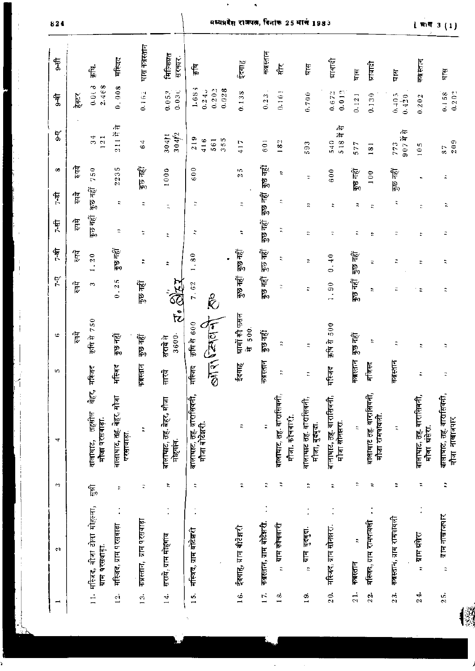| 4<br>ç.<br>41                                                                                                                                                                     |  | to. | हि<br>G                     | $\frac{1}{2}$<br>हिम                | 7-बी<br>ţ        | हमें<br>7-tff | हिम्<br>何            | हि<br>65            | $\frac{1}{2}$                                        | हूँदर<br>$\overline{3}$         | ţ                  |
|-----------------------------------------------------------------------------------------------------------------------------------------------------------------------------------|--|-----|-----------------------------|-------------------------------------|------------------|---------------|----------------------|---------------------|------------------------------------------------------|---------------------------------|--------------------|
| मस्जिद<br>$\sum_{\alpha \mid \alpha' \rangle}$<br>बालाघाट, तहसील<br>मौजा परसवाड़ा.<br>$\overleftarrow{\mathbb{F}}$<br><u>। ।. मस्जिद, बीजा टोला मोहल्ला, </u><br>ग्राम परसंवाड़ा. |  |     | 家庭 计 750                    | 5                                   | 1.20             | कुछ नहीं      | কুচ বর্নু            | 750                 | 4<br>$\overline{\phantom{a}}$<br>$\overline{1}$<br>∾ | 0.003<br>2.468                  | fii.               |
| मस्जिद<br>बालाघाट, तह. बेहर, मौजा<br>परसावाड़ा.<br>÷<br>$\ddot{\cdot}$<br>मस्जिद, ग्राम परसवाड़ा<br>12.                                                                           |  |     | কুভ নহী                     | 0.25                                | ক্কুন্ন ন্       | п             | Ľ,                   | U)<br>223.          | 311 में से                                           | 0.008                           | मस्जिद             |
| कबस्तान<br>Ĩ,<br>ς<br>कब्रस्तान, ग्राम परसवाड़ा<br>$\ddot{1}$                                                                                                                     |  |     | कुछ नहीं                    | कुछ नहीं                            | ÷                | ÷             | ٠                    | कुछ नहीं            | 64                                                   | 0.162                           | घास कब्रस्तान      |
| ह<br>सर्<br>बालाघाट, तह. बेहर, मौजा<br>मोहगाव.<br>t,<br>$\ddot{\cdot}$<br>सराये, ग्राम मोहगाव<br>$\frac{4}{14}$                                                                   |  |     | 3600.<br>सराये ते           | $\vec{a}_i$ or $\vec{a}_i$          | $\ddot{\pi}$     | t             | R                    | 1000                | 304/2<br>3041                                        | 0.03(<br>0.053                  | मिल्क्यित<br>सरकार |
| मस्जिद<br>बालाघाट, तह, बारासिवनी,<br>गोजा बोटेझरी.<br>$\ddot{ }$<br>$\ddot{\cdot}$<br>रस्जिद, ग्राम बोटेझरी<br>$\frac{5}{10}$                                                     |  |     | 不可可可<br>रूषि से 600         | 7.62<br>$\stackrel{\circ}{\otimes}$ | $\overline{.80}$ | ÷             | ÷                    | 600                 | 219<br>355<br>416<br>561                             | 1.68<br>0.028<br>0.202<br>0.243 | 傷                  |
| ईदगाह<br>д<br>÷,<br>ईदगाह, ग्राम बीटेझरी<br>16.                                                                                                                                   |  |     | ग्रामों की फसल<br>500.<br>Æ | कुछ नहीं                            | কুচ নহা          | ٦             | Ξ                    | ın.<br>\$Ñ,         | 417                                                  | 0.138                           | ईदगाह              |
| कब्रस्तान<br>$\ddot{ }$<br>$\ddot{\cdot}$<br>¢<br>कब्रस्तान, ग्राम बोटेशरी.<br>$\vec{E}$                                                                                          |  |     | कुछ नहीं                    | कुछ नहीं                            | कुछ नहीं         | कुछ नहीं      | कुछ नहीं             | কুষ নতুঁ!           | 601                                                  | 0.23                            | कबस्तान            |
| $\ddot{ }$<br>बालाघाट, तह. बारासिवनी,<br>मोजा कोचबारी<br>$\ddot{ }$<br>ग्राम कोचवारी<br>$\ddot{z}$<br>$\frac{d}{1}$                                                               |  |     | ς                           | $\ddot{\phantom{a}}$                | Ż,               | ţ,            | Ľ,                   | $\ddot{\mathbf{r}}$ | 182                                                  | $\frac{1}{2}$                   | Ę                  |
| π<br>वालाम्नाट तह. वारासिवनी,<br>मौजा, बुदबुदा.<br>$\ddot{ }$<br>$\ddot{\cdot}$<br>,, ग्राम बुदबुदा.<br>$\frac{6}{1}$                                                             |  |     | $\overline{z}$              | ÷                                   | ÷                | ÷             | Ľ.                   | ÷                   | 593                                                  | 0.700                           | प्राप्त            |
| मस्जिद<br>बालाघाट, तह. वारासिवनी,<br>मौजा सोनझरा.<br>$\ddot{\tilde{}}$<br>$\ddot{\cdot}$<br>मस्जिद, ग्राम सोनझरा.<br>20.                                                          |  |     | 500<br>市官局                  | 1.90                                | 0.40             | ÷,            | ÷.                   | 600                 | Æ<br>妆<br>518<br>540                                 | 0.012<br>0.672                  | ग्रावादी           |
| कबस्तान<br>$\ddot{ }$<br>$\ddot{\rm{z}}$<br>R<br>कब्रस्तान<br>$\frac{1}{2}$                                                                                                       |  |     | কুভ নৱী                     | कुछ नहीं                            | ক্ত নহী          | ς             | R                    | কুষ নहीं            | 577                                                  | 0.121                           | क<br>प्र           |
| मजिस्ट<br>बालाघाट तह, वारासिवनी,<br>मौजा रामपायली.<br>÷,<br>मस्जिद, ग्राम रामपायली<br>22.                                                                                         |  |     | ÷,                          | ÷                                   | Ľ,               | ÷             | $\ddot{\pi}$         | 100                 | 181                                                  | 0.130                           | प्राबादी           |
| कबस्तान<br>t.<br>$\ddot{ }$<br>कब्रस्तान, ग्राम रामगयली<br>23.                                                                                                                    |  |     | ς                           | ä                                   | ÷                | ።             | Þ,                   | कुछ नहीं            | 仲<br>$907 - 7$<br>773                                | $0.40\,$<br>0.420               | म<br>प             |
| ÷<br>बालाघाट, तह. वारासिवनी,<br>मौजा ग्रंसेरा.<br>$\tilde{\mathbf{r}}$<br>$\vdots$<br>ग्राम बंतेरा<br>$\ddot{ }$<br>24.                                                           |  |     | Ì,                          | $\ddot{\phantom{a}}$                | t.               | t             | $\ddot{\phantom{0}}$ | t.                  | 105                                                  | 0.202                           | कबस्तान            |
| ς<br>बालाघाट, तह, बारासिवनी,<br>मौजा नाखाजपार<br>$\ddot{ }$<br>$7$ मि नाखाजपरि<br>$\ddot{\mathbf{a}}$<br>25.                                                                      |  |     | ÷                           | t                                   | ż,               | Ξ             | ÷,                   | Д                   | 209<br>87                                            | 0.158<br>0.202                  | Ę                  |
|                                                                                                                                                                                   |  |     |                             |                                     |                  |               |                      |                     |                                                      |                                 |                    |

 $\omega_{\rm{max}}$  and  $\omega_{\rm{max}}$ 

824

ļ

 $\mathbf{I}$ 

ă.

मध्यप्रदेश राजपत्न, विनांक 25 मार्च 1983

 $\langle \cdot, \cdot \rangle$ 

 $\mathbf{E}(\mathbf{r})$  and

 $1 \overline{m}$ ग 3  $(1)$ 

J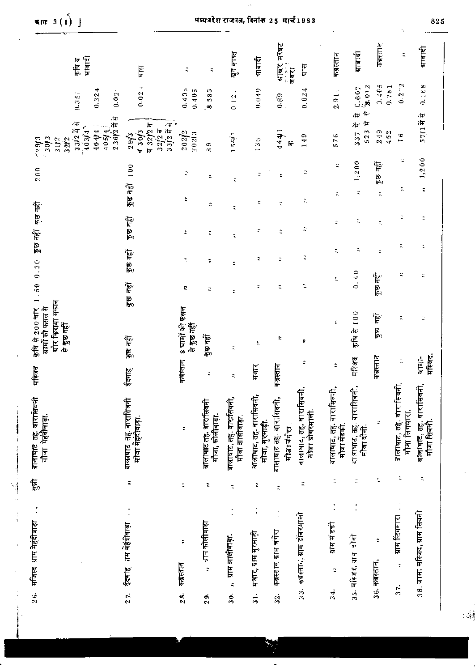| ग्राबादी<br>क दि<br>कु                                                                   | Ę                                                                                      | ÷                               | ÷,                                       | खुद काश्त                                 | ग्राबादी                                                | मरघट<br>ग्राखर<br>जबरा                       | मास                                         | कब्रस्तान                                   | ग्राबादी                              | कब्रस्तान            | ÷.                                           | ग्राबादी                                    |
|------------------------------------------------------------------------------------------|----------------------------------------------------------------------------------------|---------------------------------|------------------------------------------|-------------------------------------------|---------------------------------------------------------|----------------------------------------------|---------------------------------------------|---------------------------------------------|---------------------------------------|----------------------|----------------------------------------------|---------------------------------------------|
| 4<br>0.356<br>0.32.<br>0.02                                                              | 0.02                                                                                   | 0.40;<br>0.405                  | 8.583                                    | ٠<br>0.12                                 | 0.049                                                   | 0.89                                         | 0.024                                       | ÷,<br>2.91                                  | $\frac{0.607}{20.012}$<br>Æ<br>Æ      | 0.405<br>0.781       | $0.2^{\circ}2$                               | 0.118<br>Æ                                  |
| $236/27$ से से<br>3312 首告<br>403/47<br>405/4<br>40444<br>30/3<br>$-29/3$<br>31/2<br>32/2 | $\pi$<br>ᡰᠣ<br>$32/2$ $\frac{1}{4}$<br>$\frac{1}{4}32$ $\frac{1}{2}$<br>व 30/3<br>29/3 | 20212<br>20213                  | ග<br>œ                                   | $\frac{1}{2}$                             | $\frac{6}{3}$<br>$\overline{a}$                         | ⊷<br>444<br>ŀ۶                               | 149                                         | 576                                         | $\sqrt{1}$<br>妆<br>523<br>337         | 249<br>452           | $\overline{1}$ 6                             | 5 एम् 1 में                                 |
| 200                                                                                      | 100                                                                                    | ς                               | ÷.                                       | ።                                         | ÷,                                                      | t,                                           | r,                                          | Ľ,                                          | 1,200                                 | 窄<br>e<br>F          | ÷,                                           | 1, 200                                      |
|                                                                                          | कुछ नहीं                                                                               | ς                               | ÷                                        | ÷                                         | Я                                                       | Ř                                            | ÷,                                          | ټ                                           | ÷,                                    | $\mathbb{R}$         | ÷,                                           | ÷                                           |
| कुछ नहीं                                                                                 | কুভ নহী                                                                                | ÷                               | ς                                        | $\ddot{\phantom{a}}$                      | ς                                                       | ÷                                            | ÷,                                          | $\ddot{\pi}$                                | ì,                                    | Ż,                   | R                                            | $\ddot{ }$                                  |
| कुछ नहीं                                                                                 | কুভ বहाँ                                                                               | ÷                               | ÷,                                       | ż                                         | ÷                                                       | $\ddot{ }$                                   | ς                                           | Ľ,                                          | î,                                    | $\ddot{ }$           | Ν                                            | t,                                          |
| 0.30<br>$\frac{6}{5}$<br>$\cdot$                                                         | कुछ नहीं                                                                               | r,                              | z,                                       | ż                                         | ÷,                                                      | ÷,                                           | ۽                                           | Ľ,                                          | $\frac{1}{4}$<br>$\dot{\circ}$        | कुछ नहीं             | ς                                            | ÷,                                          |
| ग्रौर किराया मकान<br>कृषि से 200 चार<br>बामों की फसल से<br>से कुछ नहीं                   | কুভ নহী                                                                                | 8 ब्रामों की फसल<br>से कुछ नहीं | कुछ नहीं                                 | ÷,                                        | t,                                                      | r.                                           | $\overline{a}$                              | $\ddot{ }$                                  | 100<br>Æ<br>冒险                        | 窄<br>हरू             | $\ddot{\tilde{}}$                            | ς                                           |
| मस्जिद                                                                                   | ईदगाह                                                                                  | कबस्तान                         | R                                        | $\ddot{\sim}$                             | मजार                                                    | कबस्तान                                      |                                             | ÷,                                          | मस्जिद                                | कब्रस्तान            | ÷,                                           | मस्जिद.<br>जामा-                            |
| बालाघाट तह वारासिवनी<br>मौजा मेहंदीवाड़ा.                                                | बालाघाट तह. वारासिकनी<br>मौजा मेहंदीवाड़ा.                                             | Þ,                              | बालाघाट तह. वारासिवनी<br>मौजा, कोलीवाडा. | बालाघाट, तह. बारासिवनी,<br>मौजा झालीवाडा. | बालाघाट, तह, बारासिवनी,<br>मौजा, मुरमाड़ी.              | बालाघाट तह. बारासिवनी,<br>मोजाचंगरा.         | बालाघाट, तह, वारासिक्मी,<br>मौजा डोंगरमाली. | बालाघाट, तह. वाराभिवनी,<br>मौजा मेंडकी.     | बाताघाट, तह. वारासिवनी,<br>मौजा दीनी. | R                    | बालाघाट, तह, वारासिवनी,<br>मौजा लिगमारा.     | वारासिवनी,<br>बालाघाट, तह. व<br>मौजा सिवनी. |
| 愾                                                                                        | î                                                                                      | ÷,                              | R,                                       | ÷,                                        | ÷,                                                      | $\ddot{\tilde{}}$                            | ÷                                           | İ,                                          | $\ddot{\tilde{}}$                     | $\ddot{ }$           | R                                            | ĩ,                                          |
| $\ddot{\cdot}$<br>मजिस्द भाम मेहंदीवाड़ा<br>26.                                          | ईदगाह ाम मेहंदीवाड़ा<br>27.                                                            | ÷,<br>कब्रस्तान<br>28.          | ,, प्राप्त कोलीवाड़ा<br>29.              | ,, ग्राम झालीवाडा.<br>$\dot{5}$           | $\ddot{\cdot}$<br>मजार, ग्राम मुरमाड़ी<br>$\frac{1}{3}$ | $\ddot{\cdot}$<br>कबरतान ग्राम चंगेरा<br>32. | कब्रस्तान, ग्राम डोंगरमाली<br>33.           | $\ddot{\cdot}$<br>ग्राम में डकी<br>ς<br>34. | 35. मस्जिद, ग्रान, दोनो               | ÷,<br>36. कब्रस्तान, | ग्राम लिगमारा<br>$\ddot{\phantom{1}}$<br>37. | 38. जामा मस्जिद, ग्राम सिवनी                |

Ÿ

 $\mathbb{Z}^2$ 

 $\sim$ 

 $\frac{1}{2} \left( \frac{1}{2} \right)$ 

 $\mathcal{A}^{\mathcal{A}}$ 

 $\sim$ 

 $\pi$ 17 3(1) }

 $\overline{\mathcal{C}}$ 

 $\ddot{\phantom{1}}$ मध्यप्रदेश राजपत्र, दिनांक 25 मार्च 1983

825

 $\sim 2$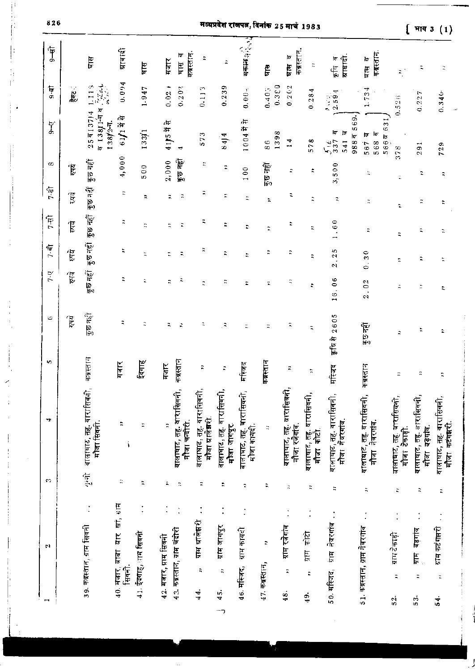| $\overline{\mathfrak{F}}$ |                                        | मास                                          | ग्रावादी                                | <u>lale</u>           | मजार                  | कबस्तान<br>١v<br>$\mathbb{H}^{\mathbf{k}}$ | ÷                                          | $\ddot{ }$                                            | $\mathbf{H} = \left\{ \begin{bmatrix} \mathbf{1} & \mathbf{1} & \mathbf{1} \\ \mathbf{1} & \mathbf{1} & \mathbf{1} \\ \mathbf{1} & \mathbf{1} & \mathbf{1} \end{bmatrix} \right\}$ | ट्वी                        | कब्रस्तान<br>घास व                           | t,                                   | ग्राबादी.<br>ķ<br>$\frac{1}{\mathbb{R}}$  | कब्रस्तान<br>l¢<br>मास                            | ÷,                                                     | ς                                                 | ÷,                                       |
|---------------------------|----------------------------------------|----------------------------------------------|-----------------------------------------|-----------------------|-----------------------|--------------------------------------------|--------------------------------------------|-------------------------------------------------------|------------------------------------------------------------------------------------------------------------------------------------------------------------------------------------|-----------------------------|----------------------------------------------|--------------------------------------|-------------------------------------------|---------------------------------------------------|--------------------------------------------------------|---------------------------------------------------|------------------------------------------|
| कि<br>के                  | 能                                      | $\frac{1.113}{5224}$                         | 0.094                                   | 1.947                 | 0.02j                 | 0.202                                      | 0.113                                      | 0.239                                                 | $0.00 -$                                                                                                                                                                           | 0.350<br>$0.40$ ;           | 0.202                                        | 0.284                                | 2.594                                     | 1.734                                             | 0.526                                                  | 0.227                                             | $0.340 -$                                |
| J<br>s                    |                                        | व 1381 में व<br>25913714<br>$138/2 -$ T.     | $61/177$                                | 133j1                 | 4115 में से           |                                            | 573                                        | 8414                                                  | dΨ<br>1004年                                                                                                                                                                        | 1398<br>86                  | $\frac{4}{1}$                                | 578                                  | 569.<br>ᡰᢑ<br>ļσ<br>9884<br>541<br>537    | 631<br>$\overline{6}$<br>क<br>566 व<br>568<br>567 | 378                                                    | 291                                               | 729                                      |
| $\infty$                  | Ę                                      | कुछ नहीं                                     | 4,000                                   | 500                   | 2,000                 | কুভ নহী                                    | ÷                                          | ÷,                                                    | 100                                                                                                                                                                                | $\frac{1}{2}$ $\frac{1}{2}$ | $\mathbb{C}$                                 | ÷                                    | 3,500                                     | ÷,                                                | ÷,                                                     | r,                                                | ።                                        |
| $\frac{1}{2}$             | $\overleftrightarrow{\mathbf{g}}$      | कुछ नहीं                                     | Þ,                                      | ÷,                    | ÷,                    | ÷,                                         | ።                                          | R                                                     | ς                                                                                                                                                                                  | ÷,                          | Ę                                            | Ç,                                   | ÷,                                        | Ř                                                 | ř,                                                     | R                                                 | ።                                        |
| $7 - \overline{3}$        | हिम                                    | कुछ नहीं                                     | ÷,                                      | t,                    | ÷.                    | R                                          | ż,                                         | ÷.                                                    | É                                                                                                                                                                                  | $\tilde{\mathbf{r}}$        | p                                            | Þ,                                   | .60                                       | R                                                 | ÷,                                                     | ς                                                 | t,                                       |
| 市                         | ह्रयु                                  | कुछ नहीं                                     | $\ddot{\tilde{}}$                       | ÷,                    | t                     | Ξ                                          | Þ,                                         | $\ddot{ }$                                            | ŗ,                                                                                                                                                                                 | Þ                           | E,                                           | R                                    | 25<br>2                                   | 0.30                                              | t.                                                     | ÷.                                                | r.                                       |
| $\overline{7}$            | हों                                    | कुछ नहीं                                     | z                                       | ÷,                    | Ľ.                    | ÷,                                         | ÷,                                         | r.                                                    | ÷.                                                                                                                                                                                 | $\ddot{ }$                  | ς                                            | ÷                                    | 16.06                                     | 2.02                                              | $\ddot{\mathbf{a}}$                                    | ÷,                                                | t.                                       |
| G                         | $\mathbf{f}^{\mathbf{g}}_{\mathbf{g}}$ | $\frac{1}{2}$ e agj                          | R                                       | $\ddot{ }$            | Ľ,                    | $\ddot{\tilde{}}$                          | ĩ,                                         | jR,                                                   | ÷,                                                                                                                                                                                 | $\ddot{ }$                  | E,                                           | Ľ,                                   | 2605<br>हाषि से                           | कुछ नहीं                                          | ÷,                                                     | ÷                                                 | $\ddot{ }$                               |
| <b>SC</b>                 |                                        | कबस्तान                                      | मजार                                    | ईदगाह                 | मजार                  | कब्रस्तान                                  | ÷,                                         | ÷,                                                    | मस्जिद                                                                                                                                                                             | कब्रस्तान                   | Ξ                                            | Þ                                    | मस्जिद                                    | कब्रस्तान                                         | $\ddot{\mathbf{z}}$                                    | $\ddot{ }$                                        | r,                                       |
| ÷                         |                                        | बालाघाट, तह. वारासिवनी,<br>मौजा सिवनी.       | ነ<br>ï                                  | ÷,                    | $\ddot{ }$            | वालाघाट, तह. वारासिवनी,<br>मौजा चन्दोरी.   | बालाघाट, तह. वारासिकाी,<br>मौजा ग्रालंझरी. | बालाघाट, तह, बारासिका<br>गोला जागपुर.                 | बालाघाट, तह. वारासिवनी,<br>मोजा कायदी.                                                                                                                                             | 5                           | बालाघाट, तह. वारासिक<br>मौजा रजेगांव.        | वालाघाट, तह. वारासिको)<br>मौजा कोटो. | बालाघाट, तह. वारासिवनी,<br>मौजा नेवरगांव. | वालाघाट, तह, वारासिवनी,<br>मौजा नेवरगांव.         | वारासिवनी,<br>मौजा टेकाडी.<br>वालाघाट, तह.             | बालाघाट, तह. बारासिवनी,<br>मौजा बड़गांव.          | वालाघाट, तह. वारासिवनी,<br>मौजा कटंगझरी. |
| S                         |                                        | 信息                                           | ¢,                                      | $\ddot{ }$            | ÷,                    | $\ddot{\rm{}}$                             | $\ddot{\phantom{1}}$                       | ř,                                                    | ÷,                                                                                                                                                                                 | ÷,                          | A                                            | Þ,                                   | ς                                         | 유                                                 | $\ddot{ }$                                             | r,                                                | $\ddot{\phantom{a}}$                     |
| N<br>÷,                   |                                        | $\ddot{\cdot}$<br>39. कब्रस्तान, ग्राम सिवनी | 40. मजार, बाबा यार खां, ग्राम<br>सिवनी. | 41. ईदगाह, ग़ाम सिवनी | 42. मजार, ग्राम सिवनी | 43. कब्रस्तान, ग्राम चंदोरी                | ग्राम ग्रालेझरी<br>E,<br>न<br>न            | $\vdots$<br>ग्राम जागपुर<br>$\ddot{\tilde{z}}$<br>45. | ग्राम कायदी<br>46. मस्जिद,                                                                                                                                                         | ÷,<br>47. कब्रस्तान,        | $\ddot{\cdot}$<br>ग्राम रजेगांव<br>÷,<br>48. | $\dot{\cdot}$<br>有<br>Ę<br>¢<br>49.  | ग्राम नेवरगांव<br>50. मस्जिद,             | $\dot{\cdot}$<br>51. कब्रस्तान, ग्राम नेवरगांव    | $\ddot{\cdot}$<br>ग्राम टेकाड़ी<br>$\mathbb{I}$<br>52. | $\ddot{\cdot}$<br>बडगाव<br>Ě<br>$\ddot{ }$<br>53. | ग्राम कटगन्नरी<br>π<br>54.               |
|                           |                                        |                                              |                                         |                       |                       |                                            |                                            |                                                       |                                                                                                                                                                                    |                             |                                              |                                      |                                           |                                                   |                                                        |                                                   |                                          |

826

P

मध्यप्रदेश राजपत्र, दिनांक 25 मार्च 1983

[ भाष 3  $(1)$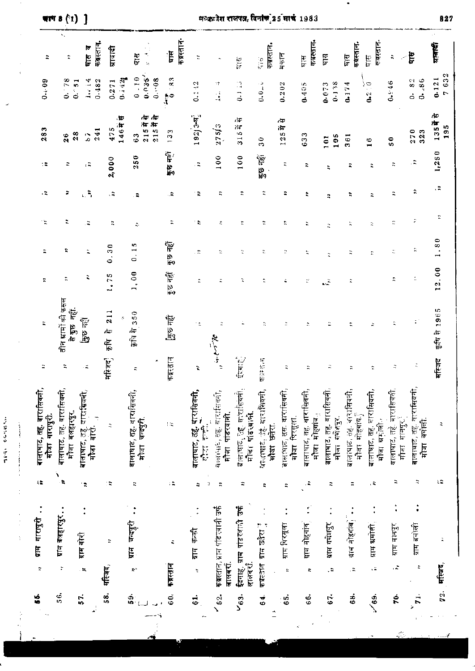|                                           | $\mathbf{v}_\infty$                       |                                            |                                        |                                              |                                |                                                   |                                                                                                                                    |                                            |                                                           |                                          |                                         |                                          |                                            |                                         |                                                                   |                                        |                              |
|-------------------------------------------|-------------------------------------------|--------------------------------------------|----------------------------------------|----------------------------------------------|--------------------------------|---------------------------------------------------|------------------------------------------------------------------------------------------------------------------------------------|--------------------------------------------|-----------------------------------------------------------|------------------------------------------|-----------------------------------------|------------------------------------------|--------------------------------------------|-----------------------------------------|-------------------------------------------------------------------|----------------------------------------|------------------------------|
| ÷                                         | ÷,                                        | कब्रस्तान.<br>þ<br>Ę                       | ग्रावादी                               | 计通知<br>दार                                   | कब्रस्तान-<br>Ę                | ÷,                                                | ٠                                                                                                                                  | 短过                                         | कब्रस्तान.<br>$\begin{bmatrix} C \\ C \\ C \end{bmatrix}$ | मकान                                     | कब्रस्तान<br><u>Alb</u>                 | मास                                      | कब्रस्तान.<br>मास                          | कब्रम्तान-<br>प्राप्त                   | $\ddot{\tilde{}}$                                                 | Ë                                      | प्राबादी                     |
| 0.603                                     | 0.78<br>0.151                             | 1.714<br>0.482                             | 0.142<br>0.271                         | 0.035'<br>0.10<br>0.498                      | 83<br>$\frac{1}{3}$            | 0.142                                             | ÷,<br>j,                                                                                                                           | 0.1                                        | $0.6\!\pm\!5$                                             | 0.202                                    | 0.405                                   | 0.138<br>0.073                           | 0.174                                      | 0.2:0                                   | 0.946                                                             | 0.186<br>0.82                          | 7632<br>$0 - 121$            |
| 283                                       | 28<br>26                                  | 241<br>$\mathbf{S}$                        | $\overline{\mathbf{r}}$<br>146#<br>475 | 215 में से<br>215 में से<br>63               | 133                            | 192j35                                            | 275/3                                                                                                                              | dΨ<br>3154                                 | 30                                                        | 仲<br>125H                                | 633                                     | 105<br>101                               | 361                                        | Ф<br>⊣                                  | 50                                                                | 270<br>323                             | Æ<br>$135\frac{8}{3}$<br>195 |
| : :                                       | ÷                                         | ۵,                                         | 2,000                                  | 250                                          | कुछ नहीं                       | $\mathbb{Z}$                                      | 100                                                                                                                                | 100                                        | कुछ नहीं<br>अ                                             | r,                                       | r,                                      | $\ddot{ }$                               | ።                                          | î,                                      | ÷,                                                                | ÷,                                     | 1,250                        |
| г.,                                       | ÷                                         | сÑ                                         | ۵.                                     | ۵Ė,                                          | ЦŘ,                            | $\mathbf{r}$                                      | ς                                                                                                                                  | ÷                                          | t,                                                        | ።                                        | ż                                       | R                                        | R                                          | ÷                                       | r,                                                                | $\hat{\bm{\pi}}$                       | . Б                          |
| $\ddot{\rm x}$                            | ÷.                                        | $\ddot{\bullet}$                           | $\ddot{\tilde{}}$                      | $\ddot{\sim}$                                | ÷,                             | 15                                                | ĉ                                                                                                                                  | $\ddot{ }$                                 | ÷                                                         | r,                                       | ÷,                                      | $\ddot{\tilde{}}$                        | $\mathbb{Q}$                               | $\ddot{\sim}$                           | Ľ,                                                                | $\tilde{\star}$                        | ።                            |
| ÷,                                        | ÷,                                        | $\ddot{\bullet}$                           | 0.30                                   | 40<br>$\frac{1}{2}$                          | कुछ नहीं                       | $\mathbb{R}^2$                                    | ż,                                                                                                                                 | t.                                         | t.                                                        | z,                                       | t                                       | $\ddot{\phantom{0}}$                     | $\ddot{\tilde{}}$                          | $\tilde{\mathbb{Z}}$                    | $\stackrel{\scriptscriptstyle\bullet}{\scriptscriptstyle\bullet}$ | À                                      | 1.80                         |
| ÷                                         | z                                         |                                            | .75<br>m4                              | 1,00                                         | ईष्ठ नहीं                      | $\hat{\mathbf{r}}$                                | $\mathbb{D}$                                                                                                                       | ÷,                                         | ÷                                                         | ċ                                        | $\mathbb{R}^2$                          | $\mathbb{R}$                             | $\hat{\mathbf{z}}$                         |                                         | ÷,                                                                | t.                                     | 12.00                        |
| ÷,                                        | तीन म्रामों की फसल<br>से कुछ नहीं.        | দ্ভিত নহী                                  | 211<br>Ķ<br>Æ<br>ही<br>क्र             | कृषि से 350                                  | ট্রিভ নহী                      | i d                                               | ÷,<br>$\frac{2\ell_{\mathcal{L}}\omega_{\mathcal{L}}^{\dagger}}{2\ell_{\mathcal{L}}^{\dagger}}\mathcal{M}_{\mathcal{R}}^{\dagger}$ |                                            | Ř                                                         |                                          | $\hat{z}$                               |                                          | t                                          | $\ddot{\tilde{}}$                       | t,                                                                |                                        | 향업 휴 1965                    |
|                                           | ÷,                                        | -4                                         | मस्जिद                                 | ۸<br>×,                                      | कबरतान                         | È.                                                |                                                                                                                                    | ्<br>इत्याहरू                              | 可以注意                                                      | Ã                                        | ÷,                                      | ÷,                                       | ÷                                          | ÷,                                      | ÷,                                                                | ÷,                                     | मस्जिद                       |
| बालाघाट, तह, बारासिवनी,<br>मौजा गारापुरी. | बालाघाट, तह. वारासिवनी,<br>मोजा बलहारपुर. | बाताघाट, तह वाराग्नियनी.<br>मौजा बारो<br>ņ | ÷,                                     | बालाधाट, तह. वारासिवनी,<br>चन्दपुरी.<br>मौजा | $\mathbb{C}^{\infty}_{\infty}$ | बालाघाट, तेंह, घाराशिवनी,<br><i>दौ</i> ऱ्य कक्षी. | बालापाट, तह, वारासिक्सी,<br>मौजा पाडरवानी,                                                                                         | बलाधार, उद्द, ग्राशिवनी.<br>मौजा पाड़ सामी | याजाषाट, उंहे. वाराधिकारी,<br>मौज छतेरा.                  | बालाधाट, तस. वारासिवनी,<br>मोजा पिरसूला. | बालाघाट, तह, बारासिवनी,<br>मौजा मोहगांव | बालाघाट, तह. वारासिवनी,<br>मौजा गणेशपुर. | बालाधाट, तह, यारासिवसी,<br>मौजा मोहगांव, ृ | बालाधाट, तह, कारासिवनी,<br>मौजा ब्रमोली | वालाघाट, तहे. वारासिक्सी,<br>मौजा मानपुर:                         | बालाघाट, तह, वारासिवनी,<br>गौजा बघोली. | $\hat{\mathbf{a}}$           |
| æ                                         | ١<br>÷.                                   | $\ddot{\pi}$                               | 15                                     | ż,                                           | ÷.                             | Ľ,<br>۵                                           | r,                                                                                                                                 | ።                                          | р                                                         | ÷                                        | ۵,                                      | ₽                                        | Ξ                                          | , c                                     | Ξ                                                                 | $\ddot{ }$                             | ιż                           |
| प्राम गारापुरी<br>÷,                      | प्राम बलहारपुर<br>÷                       | ग्राम बोरी<br>$\overline{a}$               | $\mathbb{R}$<br>मस्जिद,                | प्रान चन्दपुरी<br>¢,                         | $\mathbf{z}$<br>कब्रस्तान      | ग्राम ककी<br>t                                    | कब्रस्तान, ग्राम पांडरवानी उर्फ<br>लालबरी                                                                                          | ग्राम पांडरवानी उर्फ<br>लालवरी<br>इदगाह,   | ग्राम करेरा ?<br>कब्रस्टान                                | ग्राम पिरसूला<br>$\mathbb{R}$            | $\frac{e}{\pi}$<br>प्राम मोहगाव<br>r,   | प्राम गणेगपुर<br>۵,                      | ग्राम नोहगाब`़<br>. а                      | $\ddot{\cdot}$<br>प्राम ग्रमोली<br>, 2  | t<br>ग्राम मानपुर<br>$\ddot{\cdot}$                               | ग्राम बवोली<br>$\ddot{\pi}$            | $72.$ मस्जिद,                |
| ۰ó                                        | 56,                                       | 57.                                        | 8                                      | Ġ.                                           | 60                             | ಧೆ                                                | 62.<br>↘                                                                                                                           | $V_{63}$ .                                 | $\frac{4}{5}$                                             | Ġ.                                       | Ś.                                      | 67.                                      | $\ddot{\circ}$                             | $\frac{69}{6}$                          | 70.                                                               | $\dot{\vec{z}}$<br>ÿ                   |                              |

माण 8 $(i)$ ]

 $\frac{1}{2} \left( \frac{1}{2} \right) \left( \frac{1}{2} \right) \left( \frac{1}{2} \right) \left( \frac{1}{2} \right) \left( \frac{1}{2} \right) \left( \frac{1}{2} \right) \left( \frac{1}{2} \right) \left( \frac{1}{2} \right) \left( \frac{1}{2} \right) \left( \frac{1}{2} \right) \left( \frac{1}{2} \right) \left( \frac{1}{2} \right) \left( \frac{1}{2} \right) \left( \frac{1}{2} \right) \left( \frac{1}{2} \right) \left( \frac{1}{2} \right) \left( \frac$ 

 $\frac{1}{2}$  .

 $\frac{1}{2}$  and  $\frac{1}{2}$  and  $\frac{1}{2}$ 

ă

मव्यप्रदेश राजपत्र, दिनांक 25 मार्च 1983

827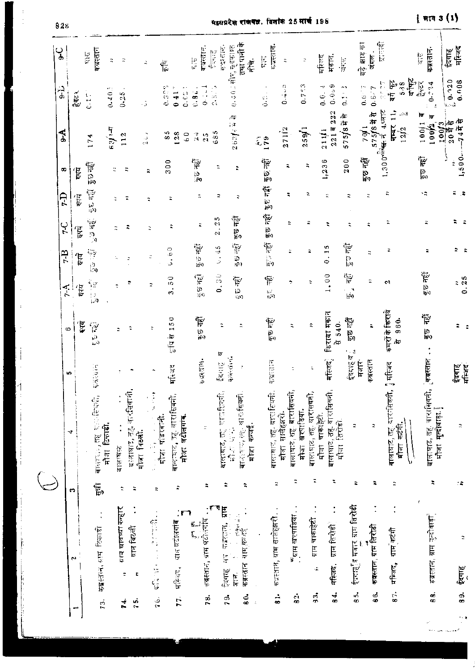| ں<br>ج        |               |                | कद्रस्तान<br>$\frac{17}{5}$                                                               | ÷,           | $\ddot{ }$                                    |                                                           | $\frac{\partial \overline{z}}{\partial \overline{z}}$<br>$\ddot{ }$ |                                           | $\frac{\tilde{\nu}}{\omega}$ | बजरतान                               | <b>PERSON</b><br>$\begin{bmatrix} \mathbf{b} & \mathbf{y} \\ \mathbf{y} & \mathbf{y} \\ \mathbf{y} & \mathbf{y} \\ \mathbf{y} & \mathbf{y} \end{bmatrix}$ |                                                                                                                                                                                                                                                                                                                                       | ते.<br>सि      | इ.स.त.च.<br>ा<br>छ                                               | $\tilde{\kappa}$                          | ċ                                        | मकान.<br>र्मास्टर                                         | $\frac{1}{5}$                 | पड़े झाइ का<br>जंगल .                                 | हासाही                                                       | कबरतान-<br>l.<br>Fo                           | मस्जिद<br>ईदगाह                                                   |
|---------------|---------------|----------------|-------------------------------------------------------------------------------------------|--------------|-----------------------------------------------|-----------------------------------------------------------|---------------------------------------------------------------------|-------------------------------------------|------------------------------|--------------------------------------|-----------------------------------------------------------------------------------------------------------------------------------------------------------|---------------------------------------------------------------------------------------------------------------------------------------------------------------------------------------------------------------------------------------------------------------------------------------------------------------------------------------|----------------|------------------------------------------------------------------|-------------------------------------------|------------------------------------------|-----------------------------------------------------------|-------------------------------|-------------------------------------------------------|--------------------------------------------------------------|-----------------------------------------------|-------------------------------------------------------------------|
| $\frac{1}{2}$ |               | हैबट<br>९      | $\frac{1}{\omega}$                                                                        | 0.40.5       | 0.25                                          | J.                                                        |                                                                     | e e e e<br>$041$ "                        | 0.027<br>$0.86$ .            | $\ddot{\phantom{0}}$                 | $2.3 - 2$                                                                                                                                                 | 0.46.∶सोर, ख् <i>द</i> काश्त<br>तथा पानी के                                                                                                                                                                                                                                                                                           |                | ू                                                                | n<br>$\ddot{0}$ + $\ddot{0}$              | 0.753                                    | 0.0.9<br>$-1$ '<br>$\frac{6}{9}$                          | 0.1 <sup>2</sup>              | $0.6\degree$<br>0.6/7                                 | ्<br>प्रदेश<br>बर्द                                          | 538<br>बर्गफूट<br>质<br>0.724<br>$\mathcal{A}$ | $\sqrt[3]{\begin{array}{c} 0.020 \\ \hline \end{array}}$<br>0.008 |
| $\frac{4}{3}$ |               |                | 174                                                                                       | $E^1(S)$     | 112                                           |                                                           | ्र<br>स                                                             | $\frac{5}{8}$<br>128                      | 60<br>$\mathbb{R}^4$         | $\frac{1}{2}$                        | 685                                                                                                                                                       | ΛT<br>$260$ <sup><math>\pm</math></sup>                                                                                                                                                                                                                                                                                               |                | $\frac{1}{2}$                                                    | 27112                                     | 259/1                                    | $221$ ब $222$<br>211j1                                    | $575/8$ में से                | 575/877<br>$7.0\pm 1$                                 | गम्बर 11,<br>$1,300^{40}$ GeV $\pi$ 4.59152<br>لتجر<br>12/2  | ब<br>ৱে<br>100 11<br>100/2                    | $-7477$<br>$10013$<br>$20$ H H                                    |
|               | œ             | हृषे           | $\frac{1}{2}$ $\frac{1}{2}$                                                               | ÷            |                                               | $\ddot{ }$                                                | $\ddot{ }$                                                          | 300                                       |                              | ্যুত নত্তী                           | ÷,                                                                                                                                                        | $\ddot{ }$                                                                                                                                                                                                                                                                                                                            |                | कुछ नहीं                                                         | ÷,                                        | 2                                        | 1,236                                                     | 200                           | कुछ नहीं                                              |                                                              | $\overline{3}$ $\overline{6}$ $\overline{16}$ | ļ<br>1,500<br>$\frac{1}{n}$                                       |
| $\Gamma$      |               | ्याम्          | ुट नहीं                                                                                   | ÷.           |                                               | ÷,                                                        | ÷.                                                                  | ።                                         |                              | r.                                   | ÷                                                                                                                                                         | ÷                                                                                                                                                                                                                                                                                                                                     |                | 带回的                                                              | z                                         | ÷                                        | $\ddot{\rm{}}$                                            | ÷.                            | $\ddot{\sim}$                                         | r,                                                           | ١ż                                            | ÷                                                                 |
|               | ςr,           | हैं'           | in the C.                                                                                 | ż            |                                               | Д                                                         | ÷.                                                                  | â                                         |                              | ÷.                                   | $\frac{5}{2}$<br>ы                                                                                                                                        | कुछ नहीं                                                                                                                                                                                                                                                                                                                              |                | ক্ত নহী                                                          | R,                                        | c                                        | z                                                         | ÷,                            | t,                                                    | ς                                                            | ÷                                             | ะ<br>$\ddot{ }$                                                   |
|               | $7-13$        | हिन्           | Jan Cal                                                                                   |              | ÷,                                            | $\ddot{z}$                                                | г                                                                   | .60<br>್ಲು                                |                              | कुछ नहीं                             | $\frac{45}{4}$<br>Ċ,                                                                                                                                      | कुछ नहीं $% \left( \left[ \begin{array}{cc} 0 & 0 & 0 \\ 0 & 0 & 0 \\ 0 & 0 & 0 \\ 0 & 0 & 0 \\ 0 & 0 & 0 \\ 0 & 0 & 0 \\ 0 & 0 & 0 \\ 0 & 0 & 0 \\ 0 & 0 & 0 \\ 0 & 0 & 0 \\ 0 & 0 & 0 \\ 0 & 0 & 0 \\ 0 & 0 & 0 \\ 0 & 0 & 0 & 0 \\ 0 & 0 & 0 & 0 \\ 0 & 0 & 0 & 0 \\ 0 & 0 & 0 & 0 \\ 0 & 0 & 0 & 0 & 0 \\ 0 & 0 & 0 & 0 & 0 \\ 0$ |                | कुण नहीं                                                         | ÷                                         | R                                        | 15<br>$\ddot{\phantom{1}}$<br>$\ddot{\phantom{0}}$        | $\frac{1}{2}$ o $\frac{1}{2}$ | $\Xi$                                                 | ÷,                                                           | R                                             | ÷                                                                 |
|               | $\mathcal{L}$ | इन्ने          | $\begin{bmatrix} \mathcal{O}_1 & \cdots & \mathcal{O}_n \end{bmatrix}$                    |              |                                               | E                                                         | Þ                                                                   | $\frac{0}{5}$<br>$\bullet$<br>S           |                              | $\frac{1}{2} \Delta \ln \frac{G}{2}$ | 0.30                                                                                                                                                      | ুড নষ্ট্                                                                                                                                                                                                                                                                                                                              |                | Ţ<br>$\frac{\partial \mathcal{L}}{\partial \mathbf{r}^{\prime}}$ | ÷                                         | ÷                                        | $\ddot{\circ}$<br>$\overline{\phantom{0}}$                | 窄<br>$\frac{1}{120}$          | ።                                                     | $\mathbf{\Omega}$                                            | দুত নহ্যু                                     | $\begin{array}{c} 0.25 \\ 0.25 \end{array}$                       |
|               | $\Phi$        | हृष्           | $\tilde{\omega}$<br>ن,<br>්ට                                                              |              | z                                             | ¢                                                         | ÷                                                                   | 150<br>.Þ<br>$\frac{\sigma}{\omega}$      |                              | कुछ नहीं $\,$                        | $\ddot{\phantom{a}}$                                                                                                                                      | ÷,                                                                                                                                                                                                                                                                                                                                    |                | $\frac{1}{2}$ and $\frac{1}{2}$                                  | ÷,                                        | $\hat{\mathbf{z}}$                       | किराया मकान<br>से 540.                                    | कुछ नहीं<br>$-3$              | ÷,                                                    | कमरों के किराये<br>960.<br>Æ                                 | ۳<br>jo<br>169                                | ÷.                                                                |
|               | S             |                | <b>प्राण्डल संग</b>                                                                       |              |                                               |                                                           |                                                                     | मस्थिर                                    |                              | 中国 11                                | চ<br>$\mathbf{z}$ and $\mathbf{z}$                                                                                                                        | क्षेत्रसंग<br>$\overline{\mathcal{I}}$                                                                                                                                                                                                                                                                                                |                | <b>ELDDS</b>                                                     | t                                         | ÷,                                       | मस्जिद                                                    | ईदराहव                        | कबरतान<br>मजारे                                       | ¦ मस्जिद                                                     | ृकबस्तान                                      | ईदगाह<br>मस्जिद                                                   |
|               | ₩             |                | $\overline{\text{dist}}(1,1) = \overline{\text{dist}}(1,1) + \overline{\text{dist}}(1,1)$ | मौजा टिकाडी. | $\ddot{\cdot}$<br>बालाघाट                     | बालाघाट, तुह, कार् <del>सवा</del> नी.<br>°<br>गौजा पिठली. | 医心动脉<br>ः<br>मौजः पांडरवानीः                                        | बालायाट, उह, बाराशिवनी,<br>मौजा बटोलगांव. |                              | ż,                                   | बालाघाट, तत् बागरितकी,                                                                                                                                    | बाद्ध वाट, त्स्- बार्रा <del>सिकी</del><br>1.5 倍保                                                                                                                                                                                                                                                                                     | मौजा कर्जा.    | बालाधाट, तह, बारा दिवनी.                                         | बालाघाट, तह बारासिवनी,<br>नौजा सालेहबारी. | बालाघाट, तह, यारासक्वी,<br>मौजा खरगडिया. | बालाघाट, तह. वाराशिवनी.<br>मौजा तिरोडी.<br>मौजा चाकाहेटी. | z                             | R                                                     | बालाघाट, तह. वारगेसिवनी,<br>मौजा कटंगी.                      | बालाधाट, तह, बारासिवनी,<br>मौजा मुन्दोवाड़ा.  | ÷,                                                                |
|               | ç,            |                | $\widetilde{\mathbb{F}}$                                                                  |              | Î,                                            | R                                                         | ÷,                                                                  | $\ddot{\phantom{a}}$                      |                              | $\ddot{ }$                           |                                                                                                                                                           | ÷<br>÷,                                                                                                                                                                                                                                                                                                                               |                | Þ                                                                | R                                         | ĩ.                                       | ĩ,                                                        |                               | ٩<br>÷,                                               | R                                                            | ÷,                                            | 18                                                                |
|               |               | $\mathbb{C}^3$ | कब्रस्तान, एष ठिकाडी                                                                      |              | ग्राम ग्रावल्या कन्हार<br>$\ddot{\mathbf{z}}$ | ग्राम बिटली<br>t                                          | 医精神病 医血管 经收益                                                        | महिल्ह्र, शाह्र वटेलियां <b>ब</b><br>ज    | $\sum_{i=1}^{n}$             | कब्रस्तान, अम पटीलगोन                |                                                                                                                                                           | ्रियाह मद कड़ला, <b>ग्राम</b><br>————————————————————<br>जात्तर ।<br>कब्रह्हान साम क्रव्यहि ।<br>में में<br>जि                                                                                                                                                                                                                        |                | सप्रतान, ग्राम सालेहसरी.                                         | <sup>ण</sup> याम खरगाडिया .<br>∵          | ं, प्राप्त चाकाहेटी                      | ग्राम लिरोडी<br>मस्जिद.                                   |                               | ईदराह्¦ँ मजार ग्राम तिरोडी<br>कब्रस्तान, ग्राम तिरोडी | $\ddot{\cdot}$<br>$\ddot{\cdot}$<br>87. मस्जिद, ग्राम् कटंगी | ł,<br><i>स</i> ब्रह्तात, ग्राम तुत्दोबाड़ा    | ż,<br>ईदगाह                                                       |
|               |               |                | $\dot{\overline{13}}$ .                                                                   |              | Ť.                                            | نه<br>ب                                                   | $\frac{6}{16}$                                                      | 77.                                       |                              | rs.                                  |                                                                                                                                                           | $\ddot{\bullet}$<br>79.                                                                                                                                                                                                                                                                                                               | $\ddot{\rm g}$ | $\dot{z}$                                                        | ပ္ပံ                                      |                                          | 84.<br>್ರ                                                 |                               | 86.<br>s.<br>B                                        |                                                              | 88.                                           | 39.                                                               |

828

 $\ddot{\phantom{a}}$ 

÷,

 $\overline{1}$ 

 $\frac{1}{2}$ 

महाप्रदेश राजपत्त. विनांक 25 मार्च 198

 $\frac{1}{2}$  प्राप 3  $(1)$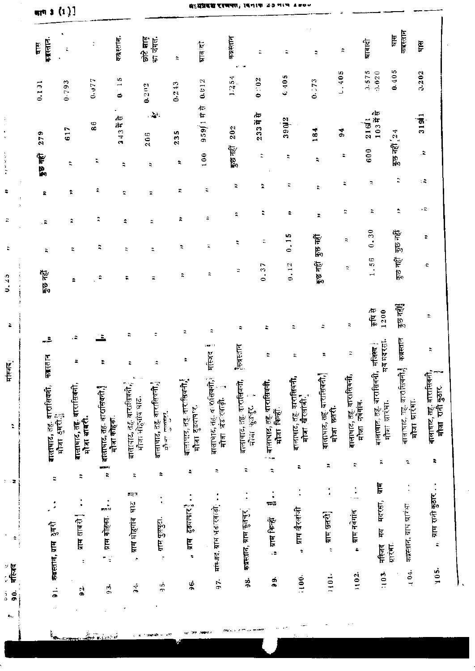|                                                                              | $\mathbf{v}$                                  |                                                         |                                        |                                                                   |                                                                                                                                                    |                                                           |                                              |                                             |                                           |                                           |                                                      |                                          |                                         |                                                         |                                            |  |
|------------------------------------------------------------------------------|-----------------------------------------------|---------------------------------------------------------|----------------------------------------|-------------------------------------------------------------------|----------------------------------------------------------------------------------------------------------------------------------------------------|-----------------------------------------------------------|----------------------------------------------|---------------------------------------------|-------------------------------------------|-------------------------------------------|------------------------------------------------------|------------------------------------------|-----------------------------------------|---------------------------------------------------------|--------------------------------------------|--|
|                                                                              | कद्गालान.<br>पास्<br>÷,                       |                                                         | कब्रस्तान.<br>t,                       | छोटे झाड़                                                         | the strip                                                                                                                                          | प्राब्ध<br>z,                                             |                                              | कब्रस्तान                                   | î,                                        | $\ddot{\bullet}$                          | $\ddot{ }$                                           | $\ddot{\text{}}$                         | ग्राबादी                                | कबरतान<br>सार                                           | Ë                                          |  |
|                                                                              | 0.793<br>0.131                                |                                                         | 0.15<br>0.077                          |                                                                   | 0.202                                                                                                                                              | 0.243                                                     | 0.612                                        | 1.254                                       | 0:02                                      | 6405                                      | 0.173                                                | 0.405                                    | 3.575<br>0.020                          | 0.405                                                   | 3.202                                      |  |
| ÷<br>$\bar{\phantom{a}}$                                                     | 617<br>279                                    |                                                         | 34377<br>$\bf{86}$                     |                                                                   | $\mathcal{L}^{\mathcal{A}}$<br>206                                                                                                                 | 235                                                       | 959 1 中守                                     | 202                                         | $233$ में से                              | 39042                                     | 184                                                  | $\frac{4}{9}$                            | 103月4<br>21611                          |                                                         | 31911                                      |  |
| en a a de                                                                    | $\frac{1}{2}$ and                             | $\ddot{\rm n}$                                          | ÷,                                     | ÷,                                                                | t,                                                                                                                                                 | ż,                                                        | 100                                          | कुछ नहीं                                    | ÷,                                        | z,                                        | $\ddot{\mathbf{x}}$                                  | ÷                                        | 600                                     | कुछ नहीं $^{124}$                                       | Ξ.                                         |  |
| r,                                                                           | r.                                            | ÷,                                                      | R,                                     | ÷                                                                 | r.                                                                                                                                                 | r.                                                        | ς                                            | Þ,                                          | R                                         | ÷,                                        | A                                                    | ።                                        | $\tilde{\mathbf{z}}$                    | ¢                                                       | $\mathcal{L}$                              |  |
| д                                                                            | ۵,                                            | ÷,                                                      | $\ddot{\phantom{0}}$                   | ÷,                                                                | ÷                                                                                                                                                  | ÷,                                                        | ÷,                                           | A                                           | R                                         | ۵                                         | $\ddot{\textbf{a}}$                                  | $\ddot{ }$                               | ÷                                       | ř,                                                      | ٠۵                                         |  |
| ÷                                                                            | $\ddot{\textbf{a}}$                           | ÷,                                                      | R                                      | $\ddot{z}$                                                        | $\ddot{\phantom{a}}$                                                                                                                               | r,                                                        | $\ddot{\text{a}}$                            | ÷,                                          | Ξ                                         | 0.15                                      | कुछ नहीं                                             | R                                        | 0.30                                    | कुछ नहीं                                                | r,                                         |  |
| 0.25                                                                         | कुछ नहीं                                      | ÷                                                       | $\ddot{\textbf{z}}$                    | ÷                                                                 | $\ddot{\phantom{a}}$                                                                                                                               | ÷                                                         | $\ddot{\tilde{}}$                            | R,                                          | 0.37                                      | 0.12                                      | कुछ नहीं                                             | z,                                       | 1.56                                    | कुछ नहीं                                                | Ŷ,                                         |  |
| $\tilde{\bullet}$                                                            |                                               |                                                         |                                        | ÷,                                                                | ÷                                                                                                                                                  | $\ddot{\textbf{a}}$                                       | ÷                                            | ።                                           | ÷,                                        | π                                         | $\hat{\textbf{z}}$                                   | z,                                       | री कोक्<br>1200                         | कुछ नहीं।                                               | ÷,                                         |  |
| मास्जद                                                                       | ئے<br>हरानि                                   | ۵,<br>£                                                 | ÷.<br>r.                               | t,                                                                | ÷                                                                                                                                                  | ¢,                                                        | year is t<br>मस्जिद                          | क्षिप्रस्तान                                | t                                         | z                                         | ÷,                                                   | ÷,                                       | नय मदरता.<br>गजिस्व                     | कब्रस्तान                                               | ÷,                                         |  |
| t.                                                                           | F<br>बालाघाट, तह. वारासिवनी,<br>मौजा ठुमरी.ीु | बालाघाट, तह. वारासिवनी,<br>मौजा स्नाबरी.                | बालाघाट, तह. वारासिवनी.<br>मौजा कोहका. | बालायाट, तह, बाराखिवनी <i>न, <sub>,</sub></i><br>मौजा मोहनाव धाट. | बालाघाट, तह. वारासिकनी ,<br>· Francis - Francis - Francis - Francis - Francis - Francis - Francis - Francis - Francis - Francis - Francis<br>- 『今日 | बालासूट, तत् वारासिक्नी,<br>मौजा दुढयापार.                | बालाधाट, तह, वारासिवनी,।<br>मौजा भंडारवाड़ी. | बालावाट, तह. बारासिवनी,<br>÷<br>नौजा पुरुष् | ¦ बालाघाट, तह, वारासिवनी,<br>मौजा किन्हीं | बालाघाट, तह, वारासिवनी,<br>मौजा खेरलांची. | बालाघाट, तह. वारासिवनी, <mark> </mark><br>मौजा छतरी. | बालाघाट, तह. वारासिवनी,<br>गौजा नवेगांव. | बालाघाट, तह. वारासिक्सी,<br>मौजा आरंभा. | बालाघाट, एह. वारासिवनी,<br>मौजा मारंभा.                 | बालाघाट, तह. वारासिवनी<br>मौजा रानी कुठार. |  |
|                                                                              | Φ                                             | ÷,                                                      | ومريض<br>$\ddot{\phantom{a}}$          | ÷,                                                                | È,                                                                                                                                                 | ۵                                                         | ÷,                                           | Ŧ,                                          | $\ddot{\,}$                               | ř,                                        | ÷,                                                   | ÷                                        | Ã                                       | ٩                                                       | P,                                         |  |
| 工作量<br><b>The contract of the contract</b><br>$\frac{1}{\pi}$<br>्<br>मस्जिद | $\frac{1}{2}$<br>कब्रस्तान, ग्राम ठुमरी       | ٠<br>$\bullet$<br>प्राम सावरी  <br>$\ddot{\phantom{a}}$ | ه<br>تفهير<br>ं, ग्राम कोहका.          | চ্ছুৰ<br>, ग्राम मोहगांव घाट                                      | $\ddot{\cdot}$<br>ग्राम पुलपुटा.<br>÷                                                                                                              | $\ddot{\cdot}$<br>दुव्यापार :<br>Ę<br>$\ddot{\textbf{z}}$ | ţ,<br>मांस्जर, ग्राम भडारवाड़ी,              | ٠<br>$\bullet$<br>कब्रस्तान, ग्राम फुलचुर,  | ţ,<br>Tirên<br>, ग्राम किहीं              | $\ddot{\cdot}$<br>ग्राम खेरलांजी<br>ä,    | $\frac{4}{4}$<br>, ग्राम छतरी                        | $\frac{1}{2}$<br>ग्राम नवेगांव<br>ż      | Ę<br>मदरसा,<br>Ę<br>मस्जिद              | $\ddot{\cdot}$<br>कब्रस्तान, याम ब्रार्ग्सा<br>ग्रारंभा | ,, ग्राम राती कुठार                        |  |
| $\dot{a}$<br>ة.<br>و                                                         | $\frac{1}{9}$                                 | $\overline{\mathbf{92}}$                                | $\ddot{3}$                             | 34.                                                               | 45.                                                                                                                                                | \$6                                                       | 5                                            | 3ģ                                          | $\ddot{\bullet}$                          | $\frac{1}{2}$ 100.                        | 1101.                                                | 1102                                     | $\frac{1}{2}$ 0.3.                      | 104.                                                    | 105                                        |  |

 $\ddot{\phantom{a}}$ 

मध्यप्रदश राजपत, त्यांना ७३ मान ४७००

 $\bullet$  (1)]  $\blacksquare$ 

 $\sim$   $\,$ 

 $\frac{1}{2}$ 

 $\hat{Z}$ 

فوجين

**WEST DES**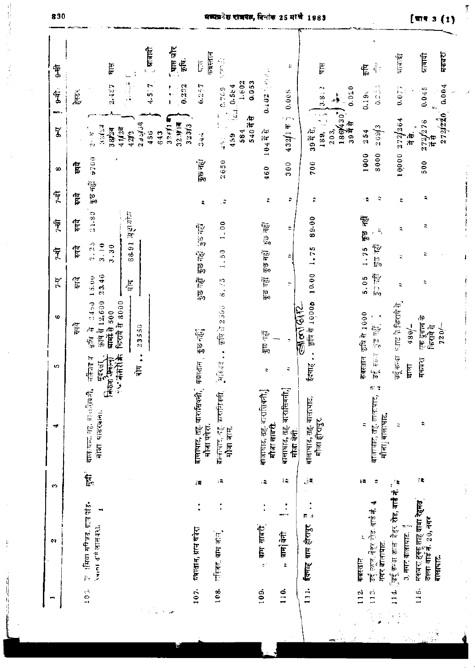| 種子の<br>0.564<br>0.077<br>0.020<br>$0.102 -$<br>0.008<br>्<br>हर्ष<br>3.8 <sub>1</sub><br>0.191<br>ŧ.<br>$\frac{1}{\sqrt{2}}$<br>Ì<br>J<br><b>130</b><br>272/220<br>r je k<br>石40片台<br>272584<br>272/276<br>39年前<br>33e<br>2.36(39)<br>32.3f14<br>$432f1$ क<br>323/3<br>32123<br>2093<br>$41/3$ ब<br>38/2व<br>39 में से,<br>186<br>104节日<br>203,<br>584<br>254<br>456<br>42/2<br>643<br>家<br>・・・<br>189,<br>市<br>34.<br>459<br>布布<br>$\frac{1}{2}$<br>10000<br>8000<br>1000<br>9700<br>$50 - 45$<br>2650<br>500<br>700<br>300<br>ቹ<br>460<br>कुछ नहीं<br>हे<br>٩<br>R<br>÷<br>۰.<br>÷,<br>r,<br>÷<br>÷,<br>2.30<br>महा कीन<br>কুত নহী<br>9.00<br>हिमे<br>.00.<br>$\overline{\mathbb{F}}$<br>দুত নহী<br>÷,<br>።<br>≈<br>F,<br>œ<br>19<br>140<br>$\overline{\phantom{a}}$<br>68.91<br>$\frac{2}{3}$<br>3.10<br>饱的<br>3.30<br>हिम<br>75<br>75<br>ΰę<br>कुछ नहीं<br>कुछ नहीं<br>ĩ.<br>÷,<br>٠<br>$\blacksquare$<br>物にゅ<br>10.00<br>23.46<br>13.00<br>6ő<br>कुछ नहीं<br>ट्टि<br>हुरु नहीं<br>$\frac{1}{2}$<br>याग<br>r,<br>Þ<br>ż<br>á,<br>$\ddot{\circ}$<br>8000<br>काषे से 12,600<br>50001 है। अन्वीक<br>पाट ने किसमे से<br>0.44.2<br>2500<br>मार्गों से 500<br>$\widetilde{\mathcal{S}}$<br>第61年1000<br>एक दूकान के<br>किराये से<br>标志<br>हि<br>3550<br>$480/-$<br>किराये से<br>$720/-$<br>$\frac{1}{10}$<br>Æ<br>رى<br>آل<br>कुछ नहीं<br>कुछ नहीं<br>j<br>$\frac{1}{3}$<br>$\overline{\mathbb{C}}$<br>ĉ.<br>٠<br>उर्दू स्कर<br>٠<br>在在時う<br>$\bullet$<br>कब्रस्तान<br>उर्दू कन्या<br>मस्जिद<br>्<br>संग<br>मकबरा<br>क्बरतान<br>$\mathbb{R}^{n+1}_{\mathcal{C}}$<br>मुदरस<br>ईदगढ़<br>गाला<br>٠<br>t,<br>बालाधान, तह, कारतील ली.<br>बालाधाट, तह, बारासिवनी,<br>बालाघाट, तह. वारासिक्नी,}<br>मौजा साबरी.<br>बालाघाट, तह, वारासिवनी,<br>बागापाट, दह, करानिक्सी,<br>बालघाट, तह, वाक्तवाट,<br>बालाघाट, तह. बालाघाट,<br>मोजा पाडरवाना.<br>मौजा बालाघाट.<br>मौजा हो रापुर.<br>Þ,<br>R<br>À<br>मौजा घपेरा.<br>मोज जाम.<br>市南市<br>t.<br>$\sim$<br>$\epsilon$<br>٤ŝ<br>$\mathcal{L}$<br>$\mathbf{1}$<br>$\epsilon$ $\Xi$<br>÷,<br>्जिर् कथा साला बेहर रोड, बा <b>र्ड नं.</b> स<br>$\epsilon$<br>ĵ.<br>मकबरा हक्क शाह बाबा <b>रेहमव</b><br>उल्ला बाडे न. 20, नगर<br>ᆉ<br>्य परिव्या मणिजन, साम पोड़-<br>$\ddot{\cdot}$<br>$\ddot{\cdot}$<br>$\ddot{\cdot}$<br>$\ddot{\cdot}$<br>उर्दू एकून, बेहर रोड, बार्ड ने.<br>÷<br>جديها<br>5.4<br>ईदगाह ग्राम होरापुर<br>, बाग सावरी<br>py the<br>रेगल उष्ट लासकरा<br>107. क्षेत्रात, ग्राम घरेरा<br>र्णास्वत् बाम जान्<br>3, नगर बालाघाट.<br>ग्राम] बेरी<br>नगर बालाघाट<br>गलायाट.<br>कब्रस्तान<br>$\ddot{\phantom{0}}$<br>108<br>111.<br>115.<br>$\frac{1}{2}$<br>114.<br>$\frac{1}{2}$<br>112.<br>113.<br>109. | N | s | ᆊ | s | ¢ | 7-Q | भू | Ţ | 节 | œ | 5 | Î,<br>œs.      | F.                                 |  |
|--------------------------------------------------------------------------------------------------------------------------------------------------------------------------------------------------------------------------------------------------------------------------------------------------------------------------------------------------------------------------------------------------------------------------------------------------------------------------------------------------------------------------------------------------------------------------------------------------------------------------------------------------------------------------------------------------------------------------------------------------------------------------------------------------------------------------------------------------------------------------------------------------------------------------------------------------------------------------------------------------------------------------------------------------------------------------------------------------------------------------------------------------------------------------------------------------------------------------------------------------------------------------------------------------------------------------------------------------------------------------------------------------------------------------------------------------------------------------------------------------------------------------------------------------------------------------------------------------------------------------------------------------------------------------------------------------------------------------------------------------------------------------------------------------------------------------------------------------------------------------------------------------------------------------------------------------------------------------------------------------------------------------------------------------------------------------------------------------------------------------------------------------------------------------------------------------------------------------------------------------------------------------------------------------------------------------------------------------------------------------------------------------------------------------------------------------------------------------------------------------------------------------------------------------------------------------------------------------------------------------------------------|---|---|---|---|---|-----|----|---|---|---|---|----------------|------------------------------------|--|
|                                                                                                                                                                                                                                                                                                                                                                                                                                                                                                                                                                                                                                                                                                                                                                                                                                                                                                                                                                                                                                                                                                                                                                                                                                                                                                                                                                                                                                                                                                                                                                                                                                                                                                                                                                                                                                                                                                                                                                                                                                                                                                                                                                                                                                                                                                                                                                                                                                                                                                                                                                                                                                            |   |   |   |   |   |     |    |   |   |   |   |                |                                    |  |
|                                                                                                                                                                                                                                                                                                                                                                                                                                                                                                                                                                                                                                                                                                                                                                                                                                                                                                                                                                                                                                                                                                                                                                                                                                                                                                                                                                                                                                                                                                                                                                                                                                                                                                                                                                                                                                                                                                                                                                                                                                                                                                                                                                                                                                                                                                                                                                                                                                                                                                                                                                                                                                            |   |   |   |   |   |     |    |   |   |   |   | 2.457          | मास                                |  |
|                                                                                                                                                                                                                                                                                                                                                                                                                                                                                                                                                                                                                                                                                                                                                                                                                                                                                                                                                                                                                                                                                                                                                                                                                                                                                                                                                                                                                                                                                                                                                                                                                                                                                                                                                                                                                                                                                                                                                                                                                                                                                                                                                                                                                                                                                                                                                                                                                                                                                                                                                                                                                                            |   |   |   |   |   |     |    |   |   |   |   |                | 二                                  |  |
|                                                                                                                                                                                                                                                                                                                                                                                                                                                                                                                                                                                                                                                                                                                                                                                                                                                                                                                                                                                                                                                                                                                                                                                                                                                                                                                                                                                                                                                                                                                                                                                                                                                                                                                                                                                                                                                                                                                                                                                                                                                                                                                                                                                                                                                                                                                                                                                                                                                                                                                                                                                                                                            |   |   |   |   |   |     |    |   |   |   |   |                |                                    |  |
|                                                                                                                                                                                                                                                                                                                                                                                                                                                                                                                                                                                                                                                                                                                                                                                                                                                                                                                                                                                                                                                                                                                                                                                                                                                                                                                                                                                                                                                                                                                                                                                                                                                                                                                                                                                                                                                                                                                                                                                                                                                                                                                                                                                                                                                                                                                                                                                                                                                                                                                                                                                                                                            |   |   |   |   |   |     |    |   |   |   |   | 4.5.7          | ् प्रावादी                         |  |
|                                                                                                                                                                                                                                                                                                                                                                                                                                                                                                                                                                                                                                                                                                                                                                                                                                                                                                                                                                                                                                                                                                                                                                                                                                                                                                                                                                                                                                                                                                                                                                                                                                                                                                                                                                                                                                                                                                                                                                                                                                                                                                                                                                                                                                                                                                                                                                                                                                                                                                                                                                                                                                            |   |   |   |   |   |     |    |   |   |   |   | 0.233          | पास और<br>信.                       |  |
|                                                                                                                                                                                                                                                                                                                                                                                                                                                                                                                                                                                                                                                                                                                                                                                                                                                                                                                                                                                                                                                                                                                                                                                                                                                                                                                                                                                                                                                                                                                                                                                                                                                                                                                                                                                                                                                                                                                                                                                                                                                                                                                                                                                                                                                                                                                                                                                                                                                                                                                                                                                                                                            |   |   |   |   |   |     |    |   |   |   |   | 0.257          | कबस्तान<br>$\overline{\mathbb{G}}$ |  |
|                                                                                                                                                                                                                                                                                                                                                                                                                                                                                                                                                                                                                                                                                                                                                                                                                                                                                                                                                                                                                                                                                                                                                                                                                                                                                                                                                                                                                                                                                                                                                                                                                                                                                                                                                                                                                                                                                                                                                                                                                                                                                                                                                                                                                                                                                                                                                                                                                                                                                                                                                                                                                                            |   |   |   |   |   |     |    |   |   |   |   | e ne           | 高原                                 |  |
|                                                                                                                                                                                                                                                                                                                                                                                                                                                                                                                                                                                                                                                                                                                                                                                                                                                                                                                                                                                                                                                                                                                                                                                                                                                                                                                                                                                                                                                                                                                                                                                                                                                                                                                                                                                                                                                                                                                                                                                                                                                                                                                                                                                                                                                                                                                                                                                                                                                                                                                                                                                                                                            |   |   |   |   |   |     |    |   |   |   |   | 1.602<br>0.053 |                                    |  |
|                                                                                                                                                                                                                                                                                                                                                                                                                                                                                                                                                                                                                                                                                                                                                                                                                                                                                                                                                                                                                                                                                                                                                                                                                                                                                                                                                                                                                                                                                                                                                                                                                                                                                                                                                                                                                                                                                                                                                                                                                                                                                                                                                                                                                                                                                                                                                                                                                                                                                                                                                                                                                                            |   |   |   |   |   |     |    |   |   |   |   |                |                                    |  |
|                                                                                                                                                                                                                                                                                                                                                                                                                                                                                                                                                                                                                                                                                                                                                                                                                                                                                                                                                                                                                                                                                                                                                                                                                                                                                                                                                                                                                                                                                                                                                                                                                                                                                                                                                                                                                                                                                                                                                                                                                                                                                                                                                                                                                                                                                                                                                                                                                                                                                                                                                                                                                                            |   |   |   |   |   |     |    |   |   |   |   |                | К                                  |  |
|                                                                                                                                                                                                                                                                                                                                                                                                                                                                                                                                                                                                                                                                                                                                                                                                                                                                                                                                                                                                                                                                                                                                                                                                                                                                                                                                                                                                                                                                                                                                                                                                                                                                                                                                                                                                                                                                                                                                                                                                                                                                                                                                                                                                                                                                                                                                                                                                                                                                                                                                                                                                                                            |   |   |   |   |   |     |    |   |   |   |   | Λī             | <b>Ed</b>                          |  |
|                                                                                                                                                                                                                                                                                                                                                                                                                                                                                                                                                                                                                                                                                                                                                                                                                                                                                                                                                                                                                                                                                                                                                                                                                                                                                                                                                                                                                                                                                                                                                                                                                                                                                                                                                                                                                                                                                                                                                                                                                                                                                                                                                                                                                                                                                                                                                                                                                                                                                                                                                                                                                                            |   |   |   |   |   |     |    |   |   |   |   |                |                                    |  |
|                                                                                                                                                                                                                                                                                                                                                                                                                                                                                                                                                                                                                                                                                                                                                                                                                                                                                                                                                                                                                                                                                                                                                                                                                                                                                                                                                                                                                                                                                                                                                                                                                                                                                                                                                                                                                                                                                                                                                                                                                                                                                                                                                                                                                                                                                                                                                                                                                                                                                                                                                                                                                                            |   |   |   |   |   |     |    |   |   |   |   |                | 悵                                  |  |
|                                                                                                                                                                                                                                                                                                                                                                                                                                                                                                                                                                                                                                                                                                                                                                                                                                                                                                                                                                                                                                                                                                                                                                                                                                                                                                                                                                                                                                                                                                                                                                                                                                                                                                                                                                                                                                                                                                                                                                                                                                                                                                                                                                                                                                                                                                                                                                                                                                                                                                                                                                                                                                            |   |   |   |   |   |     |    |   |   |   |   | 0.233          | $\dot{\vec{q}}$ :                  |  |
|                                                                                                                                                                                                                                                                                                                                                                                                                                                                                                                                                                                                                                                                                                                                                                                                                                                                                                                                                                                                                                                                                                                                                                                                                                                                                                                                                                                                                                                                                                                                                                                                                                                                                                                                                                                                                                                                                                                                                                                                                                                                                                                                                                                                                                                                                                                                                                                                                                                                                                                                                                                                                                            |   |   |   |   |   |     |    |   |   |   |   |                | शानादी                             |  |
|                                                                                                                                                                                                                                                                                                                                                                                                                                                                                                                                                                                                                                                                                                                                                                                                                                                                                                                                                                                                                                                                                                                                                                                                                                                                                                                                                                                                                                                                                                                                                                                                                                                                                                                                                                                                                                                                                                                                                                                                                                                                                                                                                                                                                                                                                                                                                                                                                                                                                                                                                                                                                                            |   |   |   |   |   |     |    |   |   |   |   |                |                                    |  |
|                                                                                                                                                                                                                                                                                                                                                                                                                                                                                                                                                                                                                                                                                                                                                                                                                                                                                                                                                                                                                                                                                                                                                                                                                                                                                                                                                                                                                                                                                                                                                                                                                                                                                                                                                                                                                                                                                                                                                                                                                                                                                                                                                                                                                                                                                                                                                                                                                                                                                                                                                                                                                                            |   |   |   |   |   |     |    |   |   |   |   | 0.045          | ग्राबादी                           |  |
|                                                                                                                                                                                                                                                                                                                                                                                                                                                                                                                                                                                                                                                                                                                                                                                                                                                                                                                                                                                                                                                                                                                                                                                                                                                                                                                                                                                                                                                                                                                                                                                                                                                                                                                                                                                                                                                                                                                                                                                                                                                                                                                                                                                                                                                                                                                                                                                                                                                                                                                                                                                                                                            |   |   |   |   |   |     |    |   |   |   |   | 0.004          | मकबरा                              |  |
|                                                                                                                                                                                                                                                                                                                                                                                                                                                                                                                                                                                                                                                                                                                                                                                                                                                                                                                                                                                                                                                                                                                                                                                                                                                                                                                                                                                                                                                                                                                                                                                                                                                                                                                                                                                                                                                                                                                                                                                                                                                                                                                                                                                                                                                                                                                                                                                                                                                                                                                                                                                                                                            |   |   |   |   |   |     |    |   |   |   |   |                |                                    |  |

 $\bar{\beta}$ 

830

计目录表 人名

 $\mathcal{A}_{\mathcal{A}}$ 

 $\ddot{?}$ 

The contract of the second second

## मत्यप्रेश राजपत, दिनांक 25 मार्च 1983

 $[$  Mrs  $3$   $(1)$ 

Ķ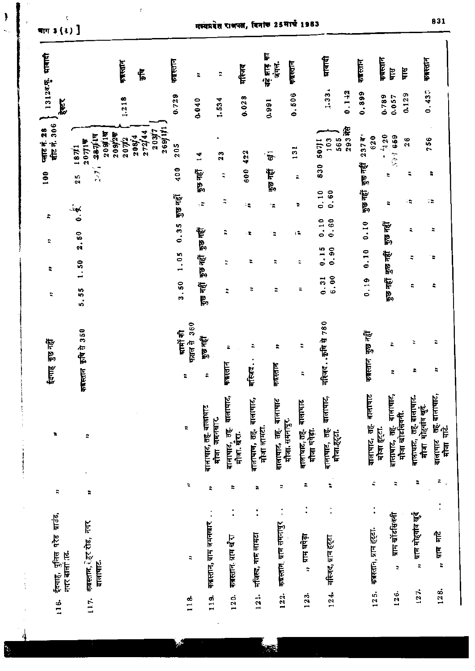| 1312व.क. भावादी                            |                                                           | कारतान          | 傷                                  | फबस्तान    | ÷,                  |                                           | ÷                                         | मस्जिद | बड़े झाड़ का                         | जंगल.                                           | कब्रस्तान                            | प्राबादी                             |           | कब्रस्तान                                  | कबस्तान<br>È                            | <u>Ple</u>     | कबस्तान                                   |                                            |
|--------------------------------------------|-----------------------------------------------------------|-----------------|------------------------------------|------------|---------------------|-------------------------------------------|-------------------------------------------|--------|--------------------------------------|-------------------------------------------------|--------------------------------------|--------------------------------------|-----------|--------------------------------------------|-----------------------------------------|----------------|-------------------------------------------|--------------------------------------------|
| हैदर                                       |                                                           | 1.218           |                                    | 0.729      | 0.040               |                                           | 1.534                                     | 0.028  |                                      | 0.991                                           | 0.506                                | 1.331                                | $0.1 + 2$ | 0.899                                      | 0.789<br>0.057                          | 0.129          | 0.437                                     |                                            |
| सीट नं. 306<br>प्लाट नं. 28                | 209114<br>184419<br>207/19<br>187/1                       | 209/2年<br>207/2 | 11,692<br>203/7<br>272744<br>20814 | 205        | ₩<br>$\blacksquare$ | ٠                                         | 23                                        | 422    |                                      | $\overline{5}$                                  | $\overline{131}$                     | 565<br>103<br>50711                  | 293裕      | 2374<br>620                                | 220<br>659<br>$\frac{1}{2}$<br>٠        | 26             | 756                                       |                                            |
| $\frac{6}{10}$                             | $\mathcal{L}_{\mathbf{A}}$<br>÷<br>$\sum_{i=1}^{n}$<br>25 |                 |                                    | 400        |                     | कुछ नहीं                                  | z,                                        | 600    |                                      | कुछ नहीं                                        | ÷,                                   | 830                                  |           | কুত নহাঁ                                   | ء:                                      | ς              |                                           | à,                                         |
| ÷                                          | ≫ٍ<br>ه                                                   |                 |                                    | कुछ नहीं   |                     | $\mathbf{r}$                              | Ã                                         | ÷.     |                                      | ٦Ŕ                                              | R                                    | 0.60<br>0.10                         |           | कुछ नहीं                                   | $\ddot{ }$                              | ÷ħ,            |                                           | ÷.                                         |
| ÷,                                         | 2.50                                                      |                 |                                    | 0.35       |                     | দুত নহী                                   | ።                                         | 嵩      |                                      | ÷                                               | ı.                                   | 0.10<br>0.60                         |           | 0.10                                       | कुछ नहीं                                | ÷              |                                           | ×                                          |
| ۵                                          | 1.50                                                      |                 |                                    | 1.05       |                     | <b>দুভ নহী</b>                            | ÷                                         | z      |                                      | ÷                                               | ÷,                                   | 0.15<br>0.90                         |           | 0.10                                       | कुछ नहीं                                | ÷,             |                                           | е                                          |
| ÷,                                         | 5.55                                                      |                 |                                    | 3.50       |                     | कुछ नहीं                                  | ÷                                         |        | ÷                                    | ÷                                               | ÷,                                   | 6.00<br>0.31                         |           | 0.19                                       | দুত নहीं                                | ς              |                                           | ۵                                          |
| कुछ नहीं                                   | कृषि से 350                                               |                 |                                    | प्रामों की | 360<br>फसल से       | দুভ নहीं                                  | z                                         |        | ÷,                                   | ።                                               | ÷                                    | .5087780                             |           | कुछ नहीं                                   | ÷,                                      |                | ÷,                                        | ÷                                          |
| ईदगाह                                      | कबस्तान                                                   |                 |                                    | ÷,         |                     | ÷                                         | कबस्तान                                   |        | मस्जिद                               | कबस्तान                                         | ÷                                    | मस्बद.                               |           | कबस्तान                                    | r,                                      |                | ÷,                                        | ۵                                          |
| ÷,                                         | ÷                                                         |                 |                                    | r.         |                     | बालाघाट, तह. बालाघाट<br>गोजा जमनबार.      | बालाघाट,<br>ķ<br>बाताघाट, तह<br>मौजा खैरा |        | बालाधाण, तह, बालाघाट,<br>मौजा लामटा. | बाताबाट, तह, बालाघाट<br>गोजा समनापुर.           | बालाघाट, तह, बालाघाट<br>गोजा घपेड़ा. | बालाघाट, तह, बालाघाट,<br>मौजा हट्टा. |           | बालाघाट, तह बालाघाट                        | बातापाट,<br>बालाघाट, तह.<br>मोजा हट्टा. | मौजा खोडसिवती. | बालाघाट, तह बालाघाट.<br>मौज मोहगाँव खुदं. | लाघाट तह बालाघाट,<br>मौजा माटे.<br>बालाघाट |
| Þ,                                         | ÷,                                                        |                 |                                    |            | κ                   | È,                                        | ÷,                                        |        | ÷,                                   | ÷,                                              | ÷                                    | $\ddot{\textbf{z}}$                  |           | ÷                                          | È,                                      |                | R                                         | ÷,                                         |
| ईदगाह, पुलिस परेड ग्राउंड,<br>नगरबालां तट. | कबस्तान, तेहर रोड, नगर<br>बालाघाट.                        |                 |                                    |            | E,                  | $\ddot{\cdot}$<br>कब्रस्तान, ग्राम जमनखार | $\ddot{\cdot}$<br>कब्रस्तान ग्राम खेरा    |        | t<br>121. मजिल्द, गाम लामटा          | $\ddot{\cdot}$<br>122. कन्नस्तान, ग्राम समनापुर | $\ddot{\cdot}$<br>,, प्राप्त घषेड़ा  | मस्जिद, ग्राम हृद्टा                 |           | $\ddot{\cdot}$<br>कब्रस्तान, ग्राम हुट्टा. | ग्राम बोंडसिनरी<br>$\ddot{ }$           |                | ,, ग्राम मोहगांव खुर्द                    | ", ग्राम माटे                              |
| 116.                                       | 117.                                                      |                 |                                    |            | 118                 | 119.                                      | 120.                                      |        |                                      |                                                 | 123.                                 | 124.                                 |           | 125.                                       | 126                                     |                | 127.                                      | 128                                        |

जाग 3 (4) ]

 $\tilde{\mathcal{R}}$ 

 $\begin{array}{c} \rule{0pt}{2ex} \rule{0pt}{2ex} \rule{0pt}{2ex} \rule{0pt}{2ex} \rule{0pt}{2ex} \rule{0pt}{2ex} \rule{0pt}{2ex} \rule{0pt}{2ex} \rule{0pt}{2ex} \rule{0pt}{2ex} \rule{0pt}{2ex} \rule{0pt}{2ex} \rule{0pt}{2ex} \rule{0pt}{2ex} \rule{0pt}{2ex} \rule{0pt}{2ex} \rule{0pt}{2ex} \rule{0pt}{2ex} \rule{0pt}{2ex} \rule{0pt}{2ex} \rule{0pt}{2ex} \rule{0pt}{2ex} \rule{0pt}{2ex} \rule{0pt}{$ 

 $\bar{\mathcal{L}}_1$ 

Þ

 $\bar{t}$ 

मध्यप्रदेश राजपत्र, दिनांक 25 मार्च 1983

831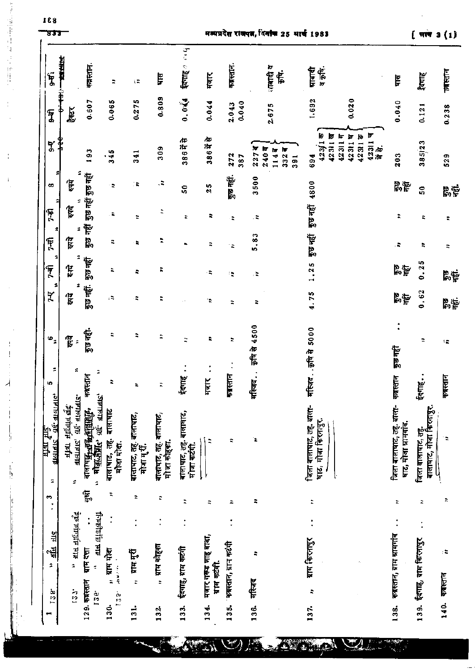| 89 J                                               |                                                    |                                                               |                                          |                                     |                                      |                                            |                                     |                      | मव्यप्रदश राजपत्न, व्यापा 25 मार्च 1983 |                                                                                 |                                                 | 14143(1)                                     |                  |
|----------------------------------------------------|----------------------------------------------------|---------------------------------------------------------------|------------------------------------------|-------------------------------------|--------------------------------------|--------------------------------------------|-------------------------------------|----------------------|-----------------------------------------|---------------------------------------------------------------------------------|-------------------------------------------------|----------------------------------------------|------------------|
| Į                                                  | 计对象<br>Î                                           | कब्रस्तान.                                                    | ÷                                        | $\mathbb{C}^n$                      | Ę                                    | ईदगाह ∘ाप                                  | गजार                                | कब्रस्तान.           | ाबादी व<br>ļ.                           | व कृषि.<br>प्राबादी                                                             | Ę                                               | ्दर्भाह<br>र                                 | <u>प्रबस्तान</u> |
| Ţ                                                  | हैस्टर                                             | 0.607                                                         | 0.065                                    | 0.275                               | 0.809                                | 0.044                                      | 0.044                               | 0.040<br>2.043       | 2675                                    | 0.020<br>1.692                                                                  | 0.040                                           | 0.121                                        | 0.238            |
| $\frac{1}{2}$                                      | f<br>f                                             | 193                                                           | 345                                      | 341                                 | 309                                  | 38676                                      | 386节                                | 272<br>387           | 3327<br>$227$ व<br>2409<br>1147<br>391  | 42311 च<br>में से.<br>423(17)<br>4231157<br>423117<br>423119<br>42.311 可<br>694 | 203                                             | 385123                                       | 529              |
| œ                                                  | ÷<br>हृमे                                          | कुछ नहीं कुछ नहीं                                             | ۰.                                       | . e                                 | ă,                                   | $\overline{50}$                            | 25                                  | कुछ नहीं.            | 3500                                    | 4800                                                                            | 爵                                               | ទី                                           | 晶粒               |
| Ţ                                                  | ø<br>ह्र<br>≠                                      |                                                               | ۵.                                       | $\ddot{z}$                          | ż                                    | #.                                         | P,                                  | $\ddot{\mathbf{r}}$  | $\ddot{z}$                              | कुछ नहीं                                                                        | ÷                                               | ÷                                            | z                |
| Ī<br>ż                                             | हि<br>÷                                            | कुछ नहीं                                                      | E,                                       | ÷                                   | ÷,                                   |                                            | ÷                                   | $\ddot{\phantom{a}}$ | 5.83                                    | कुछ नहीं                                                                        | Ġ,                                              | R                                            | ż,               |
| $7 - \hat{r}$<br>ź                                 | 窄                                                  | कुछ नहीं                                                      | ÷,                                       | E,                                  | r,                                   |                                            | $\ddot{ }$                          | 12                   | $\epsilon$                              | 1.25                                                                            | <b>Be</b>                                       | 0.25                                         | 鄙                |
| K                                                  | हैं                                                | कुछ नहीं.                                                     | $\overline{\mathbf{a}}$                  | ÷,                                  | ።                                    |                                            | ÷.                                  | ÷,                   | ÷                                       | 4.75                                                                            | 胃管                                              | 0.62                                         | 尉                |
| $\bar{\phi}^{(2)}$                                 | हि $\frac{1}{2}$ ः                                 | कुछ नही-                                                      | ٠                                        | ÷,                                  |                                      | ₿                                          | P,                                  | ÷,                   | कृषि से 4500                            | मस्जिदकृषि से 5000                                                              | कुछ नहीं                                        | ÷.                                           | $\mathbb{Z}$     |
| Ξ<br>ю                                             | ÷                                                  | з<br>कास्तान                                                  | İ,                                       | ÷.                                  |                                      | ईदगाह                                      | मवार                                | कब्रस्तान            | गस्त्रिद                                |                                                                                 | स्तान<br>ě                                      | ईदगाह.                                       | कबस्तान          |
| तहू. बालाघाट,<br><u>ईपरै फर्</u> तम<br>गलाघाट<br>з | तहः बालाघाटः<br>मौजा मोहगांव खुदै<br>बालाघाट,<br>ż | बालाधर,<br>बालाममुजलिबायान,<br>Ý<br>可以通过。<br>÷                | बालाघाट<br>बालाधाट, तह.<br>मौज मोदा.     | बालाघाट, तह. बालाघाट,<br>मोजा गुरी. | बालाघाट, तह, बालाघाट,<br>मोजा कोहका. | बालाघाट, तह. बालाघाट,<br>मोजा कटंगी.       | R                                   | ٩                    | È,                                      | जिला बालाघाट, तह, बाला-<br>घाट, मोबा किरनापुर.                                  | जिला बालाघाट, तह, बाला-<br>घाट, मोजा प्रामगांद. | जिला बालाघाट, तह.<br>बालाघाट, मोजा किरनापुर. | $\ddot{ }$       |
| m<br>$\ddot{\cdot}$                                |                                                    | $\overleftarrow{\mathbf{E}}$                                  | ţ,                                       | ÷,                                  | R                                    | $\ddot{ }$                                 | ۵                                   | ₽                    | ÷                                       | $\ddot{\phantom{0}}$                                                            | $\ddot{ }$                                      | ÷,                                           | Þ,               |
| नै<br>쎨<br>¢,                                      | ,<br>ग्रेस मोहगांव खुंद                            | प्रम खोडसिकनी<br>$\ddot{\cdot}$<br>ग्राम दत्ता<br>$\tilde{z}$ | $\ddot{\cdot}$<br>ग्राम मोदा<br><u>=</u> | $\frac{1}{2}$ and $\frac{1}{2}$     | $\ddot{\cdot}$<br>,, प्राप कोहका     | $\ddot{\phantom{0}}$<br>ईदगाह, ग्राम कटंगी | मजार गरूड शाह बाबा,<br>ग्राम कटंगी. | कबस्तान, ग्रान कटंगी | E,<br>गरिवद                             | ग्राम किरनापुर                                                                  | $\ddot{\cdot}$<br>कब्रस्तान, याम श्रामगांव      | $\ddot{\cdot}$<br>ईदगाह, ग्राम किरनापुर      | ÷#               |
| $\frac{8}{15}$<br>÷                                | この                                                 | $129.$ कब्रस्तान<br>$\frac{6}{5}$                             | 125.<br>130.                             | 131.                                | 132.                                 | 133.                                       | 134.                                | 135.                 | 136.                                    | ÷,<br>137.                                                                      | 138.                                            | 139.                                         | 140. कबस्तान     |

WITCHES

AVEN

a provincia de la partida<br>Alemando de la partida

À,

831

医苯磺甲基甲烷 计单排列

 $\frac{1}{2}$ 

÷

J  $\frac{1}{2}$ 

 $\overline{\mathcal{A}}$ 

ÿ

ķ

ļ.

## Ŀ.  $\overline{a}$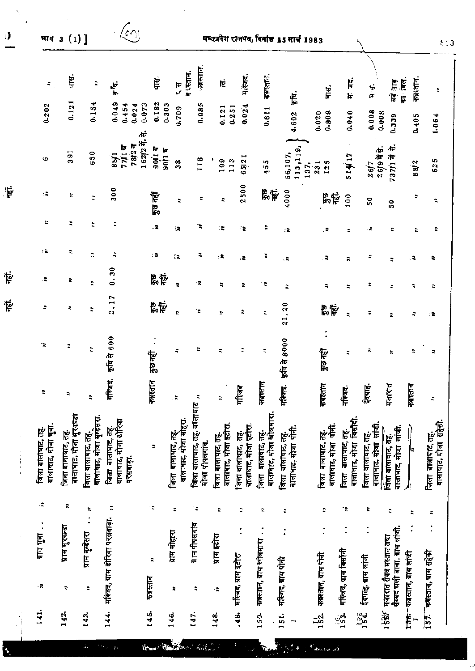| $\bullet$<br>U) |                                          | भाग 3 (1) ]                               |                                               |                                                        |                                       |                                           |                                                |                                           |                                           |                                             | मध्यप्रदेश राजपत्र, विनांक 25 मार्च 1983 |                                        |                                             |                                                   |                                                         |                          | 823                                         |
|-----------------|------------------------------------------|-------------------------------------------|-----------------------------------------------|--------------------------------------------------------|---------------------------------------|-------------------------------------------|------------------------------------------------|-------------------------------------------|-------------------------------------------|---------------------------------------------|------------------------------------------|----------------------------------------|---------------------------------------------|---------------------------------------------------|---------------------------------------------------------|--------------------------|---------------------------------------------|
|                 | $\mathcal{L}_{\mathcal{A}}$              | Ė                                         | $\ddot{\phantom{a}}$                          | تھا<br>پھ                                              | Ė                                     | व शत्तान.<br>P,                           | ाब्रस्तान                                      | ķ                                         | मःस्वद                                    | कब्रालान.                                   | ť.                                       | प्तुः<br>मि                            | मं जूद.                                     | 计可                                                | बड़े नाड़<br>का नाल.                                    | कब्रस्तान                | ÷,                                          |
|                 | 0.202                                    | 0.121                                     | 0.154                                         | 0.049<br>0.454<br>0.024                                | 0.182<br>0.073<br>0.303               | 0.709                                     | 0.085                                          | $0.121$<br>$0.251$                        | 0.024                                     | 0.611                                       | 4602                                     | 0.809<br>0.020                         | 0.040                                       | $0.008$<br>$0.008$                                | 0.339                                                   | 0.405                    | 1.064                                       |
|                 | $\bullet$                                | 391                                       | 650                                           | 78/27<br>77/19<br>88/1                                 | 162/2 年. 4.<br><b>B 1106</b><br>90177 | 38                                        | 118                                            | 109<br>113                                | 65121                                     | 455                                         | 113,119,<br>66,107,<br>137,              | 125<br>231                             | 514417                                      | 26/9 में से.<br>2.617                             | $(37/1$ में से                                          | 88/2                     | 525                                         |
| 停               | $\mathbb{R}^2$                           | ÷                                         | $\ddot{ }$                                    | 300                                                    | कुछ नहीं                              | ÷,                                        | ÷                                              | ÷,                                        | 2500                                      | <b>Beli</b> e                               | 4000                                     | <b>Baj</b>                             | 100                                         | ${\tt s}$                                         | នី                                                      | ÷.                       | ż,                                          |
|                 | t,                                       | r,                                        | ÷                                             |                                                        | $\mathbf{r}$                          | C.                                        | Ŧ,                                             | ÷.                                        | ÷.                                        | ÷                                           | г.                                       | e                                      | Þ,                                          | ÷                                                 | Ξ                                                       | $\ddot{\sim}$            | ÷                                           |
|                 | τâ,                                      | $\ddot{\phantom{a}}$                      | Ř                                             |                                                        | 75                                    | í.                                        |                                                | ۰ŧ,                                       | ٠Ř                                        | ÷                                           |                                          | ÷                                      | ÷                                           | R                                                 | Ř                                                       | . е                      | ٠                                           |
| Ë               | a,                                       | ÷                                         | z                                             | 0.30                                                   | 晶带                                    | $\ddot{\phantom{a}}$                      | ۰Ŕ                                             | τ                                         |                                           | ÷                                           |                                          | ÷                                      | ÷                                           | r,                                                | $\ddot{ }$                                              | $\ddot{\text{a}}$        | $\approx$                                   |
| 菅               | È,                                       | z,                                        | ÷,                                            | 2.17                                                   | 高标                                    | ŧ.                                        | 'n,                                            | ÷                                         | ÷,                                        | $\ddot{ }$                                  | 21.20                                    | 恩荷                                     | $\ddot{z}$                                  | ÷                                                 | ż                                                       | ς                        | ×                                           |
|                 | ÷.                                       | $\ddot{ }$                                | $\ddot{ }$                                    | कृषि से ६००                                            | कुछ नहीं                              | ÷,                                        | ።                                              | ÷,                                        |                                           | ÷                                           | 51विंस के 8000                           | ক্ত বৰ্হা                              | ÷                                           |                                                   |                                                         |                          | ÷                                           |
|                 | ٠.                                       | ÷,                                        | È,                                            | मस्जिद्द.                                              | कब्रस्तान                             | $\ddot{\pi}$                              |                                                | R                                         | गरिबद                                     | कब्रस्तान                                   | मस्जिद.                                  | कबस्तान                                | मस्जिद.                                     | ईदगाह.                                            | मजारात                                                  | केब्रस्तान               | ÷,                                          |
|                 | बालावाट, मोजा भुवा.<br>जिला बालाघाट, तह. | बालाघाट, मोजा भुरकबा<br>जिला बालाघाट, तह. | जिला बालाघाट, तह.<br>बालाघाट, मोजा मुन्डेसरा. | बालाघाट, मोजा ढोरिया<br>जिला बालाधाट, तह.<br>परसवाड़ा. | ÷                                     | बालाघाट, मोजा मोहरा.<br>जिला बालाधाट, तह. | जिला बालाघाट, तह, बालाघाट ,,<br>मोजा पीपलगांव. | बालाधाट, मोजा इटोरा.<br>जिला बालाधाट, तह. | बालाघाट, मोजा इटोरा.<br>जिला बालाघाट, तह. | बालाघाट, मोजा खोलमारा.<br>जिला बालाघाट, तह. | जिला बालाघाट, तह.<br>बालाघाट, मोजा पोनी. | जिला बालाघाट,तह.<br>बालाघाट,मोजा पोनी. | बालाघाट, मोजा बिसौंदी.<br>जिला बालाघाट, तह. | <u>लांचे</u><br>जिला बालपाट, तह.<br>बालाघाट, मौजा | बालाघाट, मोजा लाजी.<br>जिला बालाघाट, तह.                | k                        | सहेकी<br>जिला बालाघाट, तह.<br>बालाघाट, मौजा |
|                 | ÷Ř                                       | ÷,                                        | ÷,                                            | $\ddot{ }$                                             | 'N                                    | $\ddot{\phantom{0}}$                      | Ŧ,                                             | t.                                        | Ř                                         | ÷,                                          | ÷                                        | ÷                                      | R                                           | ÷,                                                | ÷                                                       | ÷,                       | ÷                                           |
|                 | गाम भूवा<br>$\sim$                       | प्राप्त भुरकन्डा<br>÷                     | ग्राम मुग्डेसरा<br>÷,                         | मस्जिद, ग्राम ढोरिया परसवाड़ा.                         | R,<br>फबस्तान                         | ग्राम मोहारा<br>r,                        | ग्राम पीपलगांव<br>÷,                           | ग्राम इटोरा<br>÷                          | $\ddot{\cdot}$<br>गरिजद, ग्राम इटोरा      | कब्रस्तान, बाम लोलमारा                      | मस्जिद, ग्राम पोनी                       | कब्रस्तान, बाम पोनी                    | गरिजद, ग्राम बिसौंनी                        | ईदगाह, ग्राम लांजी                                | सैय्यद बली बाबा, ग्राम लांजी.<br>मजारात सैयद मस्तान तया | - कब्रस्तान, ग्राम लांजी | कबरतान, ग्राम सहेकी                         |
|                 | 141.                                     | 142.                                      | 143.                                          | 144.                                                   | 145.                                  | 146.                                      | 147.                                           | 148.                                      | 149.                                      | 150.                                        | 151.                                     | 152.                                   | ្មែ <u>ង</u>                                | 154.                                              | 1538                                                    | $156 -$                  | is<br>151                                   |

He Holden and I am the first more  $\left\langle A_{\rm L}\right\rangle =\lambda\left\langle \gamma_{\rm L}\right\rangle /4$ 

 $\mathbb{R}^n$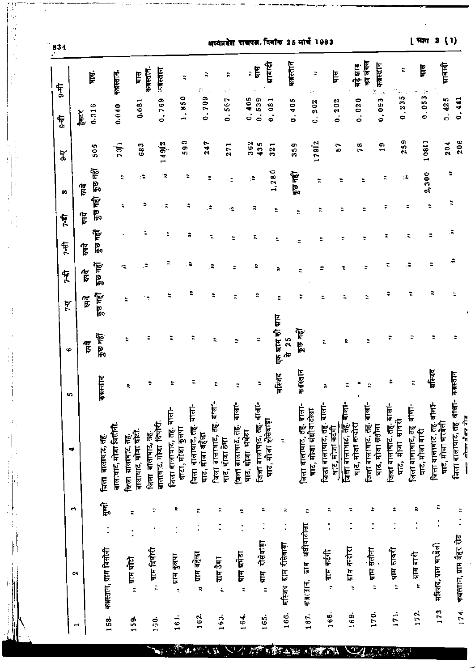| 834            |        |                                                 |                                          |                                            |                                             |                                             | मञ्यप्रबेश                                 |                                                 | राजपत्न, दिनांश 25 मार्च 1983                    |                                     |                           |                      |                                                  |                                                 |                                               |                                            | माग                                       | 3                                           | $\left(1\right)$                    |
|----------------|--------|-------------------------------------------------|------------------------------------------|--------------------------------------------|---------------------------------------------|---------------------------------------------|--------------------------------------------|-------------------------------------------------|--------------------------------------------------|-------------------------------------|---------------------------|----------------------|--------------------------------------------------|-------------------------------------------------|-----------------------------------------------|--------------------------------------------|-------------------------------------------|---------------------------------------------|-------------------------------------|
| $\ddot{F}$     | ę      |                                                 | कबस्तान<br>Ę                             | कबस्तान.<br>- प्रस्तान                     | ÷                                           | ÷,<br>Ff.                                   |                                            |                                                 | ग्राबारी<br>$\frac{1}{2}$                        |                                     | कबस्तान                   | t.                   | हू                                               | बढ़े झाड़                                       | का जंगल<br>कबस्तान<br>æ,                      | t<br>$\mathcal{Z}_\sigma$                  | E                                         | ग्राबादी                                    |                                     |
| $\overline{3}$ | हैसर   | 0.316                                           | 0.081<br>0.040                           | 0.769                                      | 1,850                                       | 0.709                                       | 0.567                                      | 0.405                                           | 0.539<br>0.081                                   |                                     | 0.405                     | 0, 202               | 0.202                                            | 0.020                                           | 0.093                                         | 0.235                                      | 0.053                                     | 0.425                                       | 0.441                               |
| $\frac{1}{2}$  |        | 505                                             | 70[1                                     | 683                                        | 590<br>14912                                | 247                                         | 271                                        | 362                                             | 435                                              | 321                                 | 359                       | 17912                | r,                                               | $\frac{8}{7}$                                   |                                               | 259<br>$\frac{6}{10}$                      | 10841                                     |                                             | 206<br>204                          |
| $\infty$       | 怎      | कुछ नहीं कुछ नहीं                               | $\ddot{\tilde{}}$                        | ÷.                                         | ÷                                           | A                                           | ÷,                                         | ÷.                                              | ÷                                                | 1,280                               | कुछ नहीं                  | $\ddot{ }$           | ÷                                                |                                                 | r.                                            | ÷,                                         | ξÈ,                                       | 2,300                                       | : 2                                 |
| <b>F</b>       | ह्मद्र |                                                 | ÷,                                       | $\ddot{ }$                                 | ÷                                           | Э                                           | ÷,                                         | ٠¢                                              | P,                                               | $\ddot{\tilde{}}$                   | ÷                         | ÷                    |                                                  | ż                                               | $\ddot{\phantom{a}}$                          |                                            | Е                                         | Þ,                                          | ።                                   |
| Ę              | हि     | কুড নहीं                                        |                                          |                                            | ÷                                           | ÷,                                          | ÷,                                         | t                                               | ÷,                                               | ÷,                                  | ÷.                        | ÷                    |                                                  | ÷                                               | ÷                                             | ።                                          | ÷                                         | ₹                                           |                                     |
| <b>fr</b>      | है     | দুত নहीं                                        | ٠ź                                       | A,                                         | r.                                          | ÷                                           | ĴΣ,                                        | $\mathbf{r}$                                    | ÷                                                | ÷                                   | t                         |                      |                                                  | r.                                              | $\ddot{ }$                                    | ።                                          | t                                         | ÷                                           | ≎                                   |
| Ă              | है     | কুভ নहों                                        | ÷                                        | ÷                                          | t                                           | ĩ.                                          | Ť.                                         | ÷                                               | ÷                                                |                                     | Þ                         |                      | r,                                               | $\ddot{ }$                                      | $\ddot{ }$                                    | ₹                                          | Ř                                         | ።                                           | ÷                                   |
| Φ              | हि     | কুভ নहीं                                        | ÷                                        |                                            |                                             | ።                                           | ÷,                                         | ÷                                               | R,                                               | एक झाम की म्राय<br>$\frac{3}{4}$ 25 | দুভ নহী                   |                      | ÷,                                               | Ť.                                              | $\ddot{ }$                                    | ÷                                          |                                           |                                             |                                     |
| ယ              |        | स्तान                                           |                                          |                                            |                                             |                                             |                                            |                                                 | ÷.                                               | गरिजद                               | कब्रस्तान                 |                      |                                                  |                                                 |                                               | ÷                                          | $\ddot{\phantom{0}}$                      | र्गरेजद                                     |                                     |
| ٠              |        | F<br>बालाघाट, मोजा विसोनी.<br>जिला बालाघाट, तह. | जिला बालाघाट, तह.<br>बालाघाट, मोजा घोटी. | बालाघाट, मोजा दिशोरी.<br>जिला बालाघाट, तह. | जिला बालाघाट, तह, बाला-<br>पाटा, मोजा कुलपा | जिला बालाघाट, तेह. बाला-<br>घाट, मोजा बहेला | जिला बालाघाट, तेह. बाला-<br>घाट, मोजा ठेमा | बाला-<br>चिला बालाघाट, तह.<br>घाट, मोजा श्रमेडा | जिला बालाघाट, तेहु. बाला-<br>चाट, मौजा रोसेबाड़ा | t.                                  | जिला बालाघाट, तह, बाला-   | चाट, मोजा मंधीवाटोला | बाला-<br>जिला बालाघाट, तह.<br>__ घाट, मोजा कटंगी | जिला बालाघाट, तेहूं. बोला-<br>घाट, मोजा नग्दोरा | क्तिसा बालाघाट, तह्, बाला-<br>घाट, मोजा सतौना | जिला बालाघाट, तह, बाला-<br>घाट, मोजा सावरी | जिला बालाघाट, तेह बाला-<br>घाट, मोजा बारी | जिला बालाघाट, तह. बाला-<br>घाट, मोजा भरदेली | जिला बालाघाट, तेहु. बाला- कब्रस्तान |
| m              |        | $\overline{\mathbb{F}}$                         | ÷,                                       | ÷,                                         | τ                                           | z                                           | ₽                                          | ÷,                                              | E,                                               | R                                   | ÷,                        |                      | ħ                                                | ÷,                                              | ≈                                             | t.                                         | ።                                         | Ξ                                           | R                                   |
|                |        | $\ddot{\cdot}$                                  |                                          |                                            |                                             |                                             |                                            |                                                 |                                                  |                                     |                           |                      |                                                  |                                                 |                                               |                                            |                                           |                                             |                                     |
|                | N      | 158. कब्रस्तान, ग्राम विसोनी                    | ,, ग्राम बोटी                            | ,, ग्राम दिवोरी                            | ग्राम कुलपा<br>Ę,                           | ग्राम बहेला<br>$\ddot{z}$                   | , ग्राम ठेमा                               | ,, ग्राप ग्रमेडा                                | ग्राम रोसेबाड़ा<br>$\ddot{ }$                    | मस्जिद ग्राम रीसेबाड़ा              | कब्रहतान, ग्राम अधीवाटोला |                      | ,, प्राप्त करंगी                                 | ग्राम नन्दोरा<br>$\ddot{ }$                     | ग्राम सतीना<br>$\ddot{ }$                     | ग्राम सावरी<br>$\ddot{z}$                  | ,, ग्राम बारी                             | मस्जिद, ग्राम भरवेली                        | कबस्तान, ग्राम बैहर रोड             |
|                |        |                                                 | 159.                                     | 160.                                       | 161.                                        | 162.                                        | 163.                                       | 164.                                            | 165.                                             | 166.                                |                           | 167.                 | 168.                                             | 169.                                            | 170.                                          | 171.                                       | 172.                                      | 173.                                        | 174.                                |

 $\mathbf{v}$ 

 $\degree$ 834

 $\tilde{\mathbf{r}}_i$ 

 $\frac{1}{4}$ 

Ă

 $\mathbf{i}$  $\mathcal{V}$ 

Ť

CONTROL OF THE WARRANT OF THE MAIN CONTROL OF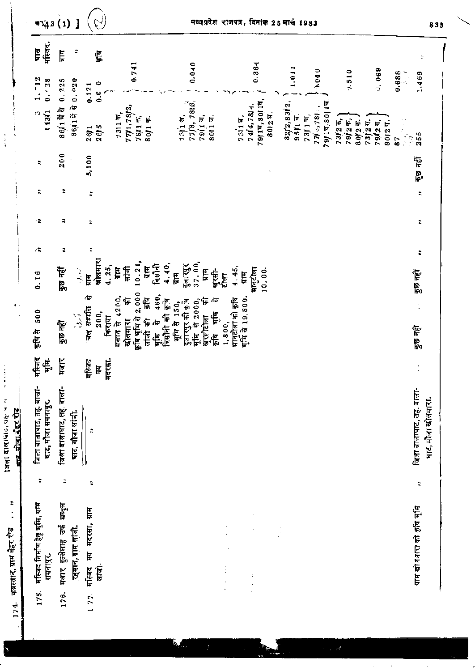|                                                         | $\bullet$ 543 $(1)$                              | }                                                         | S)                                       |                                                                                                 | मध्यप्रदेश राजपत्र, दिनांक 25 मार्च 1983<br>83                                              |                                           |                                      |                                |                                    |                                                            |                 |           |                                                 |  |  |  |
|---------------------------------------------------------|--------------------------------------------------|-----------------------------------------------------------|------------------------------------------|-------------------------------------------------------------------------------------------------|---------------------------------------------------------------------------------------------|-------------------------------------------|--------------------------------------|--------------------------------|------------------------------------|------------------------------------------------------------|-----------------|-----------|-------------------------------------------------|--|--|--|
|                                                         | गरिजद.<br>Ę<br>$-12$<br>0.728                    | ÷<br>Ę<br>0.725                                           | Щ.<br>P<br>0.121                         | 0.741                                                                                           | 0.040                                                                                       |                                           | 0.364                                | 1.011                          | 0.040                              | 9.510                                                      | 0.069           | 0.688     | $\ddot{ }$<br>1.469                             |  |  |  |
| $\frac{1}{3}$                                           | 14311<br>m                                       | 86/1 학 6.020<br>86/1 표현                                   | $\ddot{o}$<br>2615<br>261                | 77/1,78/2,<br>$7311 - 47$<br>79/1 क,<br>$80/1 -$                                                | 77/8, 7816,<br>73] 1 ज,                                                                     | $7911$ ज,<br>8011 ज.                      | 79119,80119<br>7414, 7814,<br>73119, | 82/2,8312,<br>80129.<br>95117. | 791व,8011व<br>77/0, 781.<br>73114, | $7312$ $\overline{ }$ ,<br>79j2 क,<br>$\frac{80/2}{73/27}$ | 79/21,<br>80127 | Žņ.<br>87 | 255                                             |  |  |  |
|                                                         | ÷                                                | 200                                                       | 5,100                                    |                                                                                                 |                                                                                             |                                           |                                      |                                |                                    |                                                            |                 |           | कुछ नहीं                                        |  |  |  |
| Ì                                                       | î,                                               | ÷,                                                        | ÷                                        |                                                                                                 |                                                                                             |                                           |                                      |                                |                                    |                                                            |                 |           | ÷,                                              |  |  |  |
|                                                         | ۱Ż                                               | ÷                                                         | ÷                                        |                                                                                                 |                                                                                             |                                           |                                      |                                |                                    |                                                            |                 |           | ÷,                                              |  |  |  |
|                                                         | $\epsilon$                                       | z                                                         | ς                                        |                                                                                                 |                                                                                             |                                           |                                      |                                |                                    |                                                            |                 |           | ĉ                                               |  |  |  |
|                                                         | 0.16                                             | कुछ नहीं                                                  | बोलमारा<br>ر د (<br>ĚД                   | 10.21<br>4.25,<br><b>TE</b><br>真<br>Ę                                                           | 37.00,<br>4.40,<br>दुलारपुर<br>बिसोनी<br>HL                                                 | H<br>बुरसी-<br>居                          | 4.45<br>भानुटोला<br>10,00<br>Ë       |                                |                                    |                                                            |                 |           | कुछ नहीं                                        |  |  |  |
| ٠                                                       | 500<br>कृषि से                                   | ا باري.<br>ا<br>ক্টুচ নহী                                 | Æ<br>चल सम्मति<br>200,                   | कृषि भूमि से 2,000<br>4200,<br>हैं<br>乍<br>किराया<br>खोलमारा<br>लांशी की<br>बाँसि से<br>मकान से | 460,<br>की कृषि<br>भूमि से 150,<br>दुलारपुर की कृषि<br>भूमि से 2000,<br>बिसोनी<br>भूमि<br>स | Æ<br>乍<br>कृषि भूषि<br>खरसोटोला<br>1,800, | भानुटोला की कृषि<br>भूमि से 19,800.  |                                |                                    |                                                            |                 |           | कुछ नहीं                                        |  |  |  |
| Ĵ,                                                      | मस्जिद<br>Ę.                                     | मजार                                                      | मस्जिद<br>Ę                              | मदरसा.                                                                                          |                                                                                             |                                           |                                      |                                |                                    |                                                            |                 |           |                                                 |  |  |  |
| in Alian<br>जिला बालाधार, पह<br><b>ATA RIGHT ARE TO</b> | जिला बालाघाट, तह. बाला-<br>धाट, मौजा समनापुर.    | जिला बालाघाट, तह. बाला-<br>घाट, मौजा लांजी.               | ÷,                                       |                                                                                                 |                                                                                             |                                           |                                      |                                |                                    |                                                            |                 |           | विद्या बालाघाट, तह, बाला-<br>घाट, मोजा खोलमारा. |  |  |  |
|                                                         | $\ddot{ }$                                       | $\ddot{\bullet}$                                          | $\ddot{ }$                               |                                                                                                 |                                                                                             |                                           |                                      |                                |                                    |                                                            |                 |           | È,                                              |  |  |  |
| ÷<br>174. कब्रस्तान, ग्राम बैहर रोड                     | 175. मस्जिद निर्माण हेतु मूमि, ग्राम<br>समनापुर. | मजार दुल्लेगाह उर्फ मब्दुल<br>रहमान, ग्राम लांजी.<br>176. | मस्जिद मय मदरसा, ग्राम<br>लांजी.<br>177. |                                                                                                 |                                                                                             |                                           |                                      |                                |                                    |                                                            |                 |           | ग्राम खोजगरा की इषि भूमि                        |  |  |  |
|                                                         |                                                  |                                                           |                                          |                                                                                                 |                                                                                             |                                           |                                      |                                |                                    |                                                            |                 |           |                                                 |  |  |  |

Ĺ, e.<br>He

Ì.

 $\hat{\mathcal{A}}$ 

 $\overline{\cdot}$ 

 $\frac{1}{2}$ 

 $\frac{1}{\sqrt{2}}$ 

**N** 

5

 $\overline{\phantom{0}}$